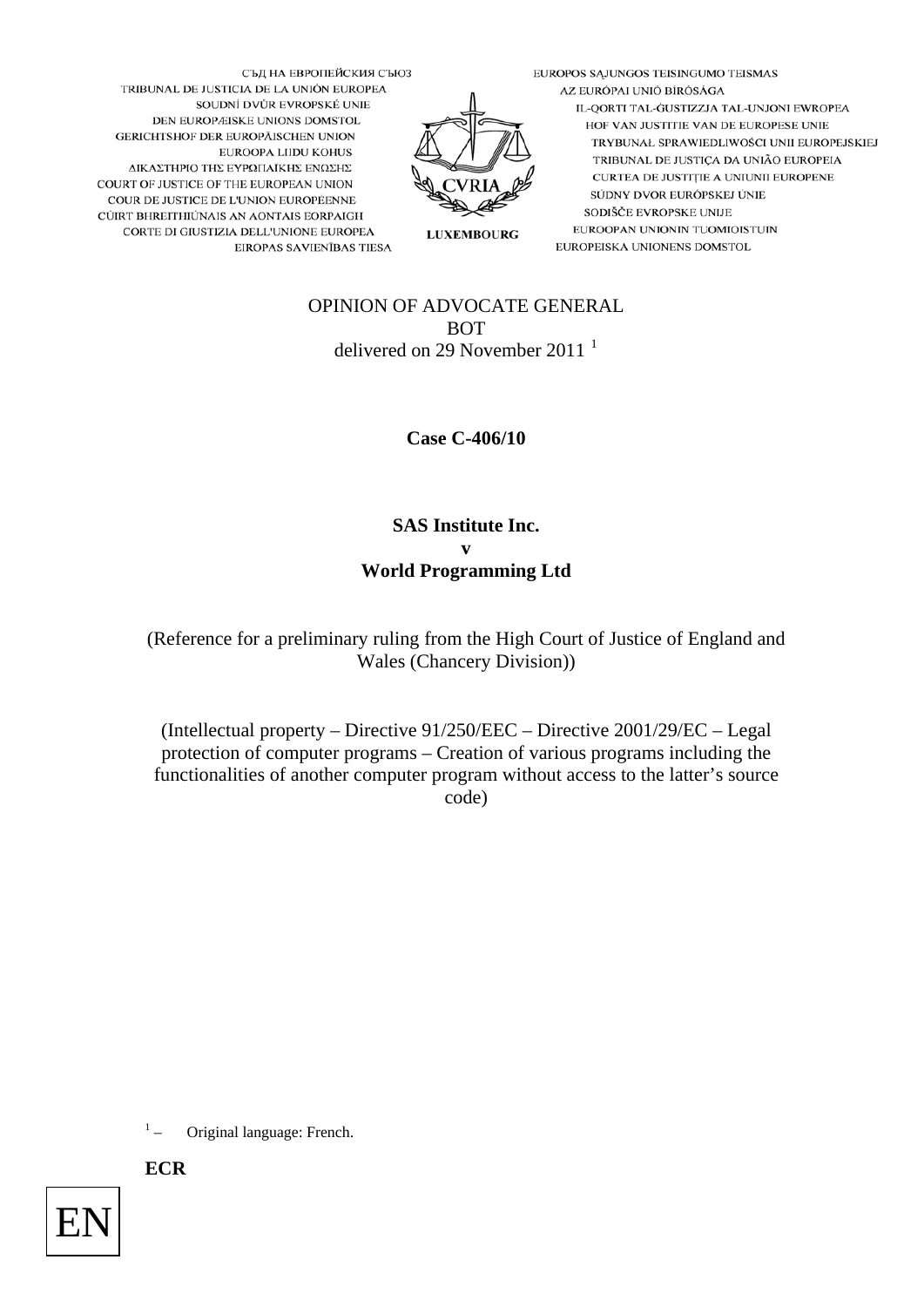EUROPOS SĄJUNGOS TEISINGUMO TEISMAS AZ EURÓPAI UNIÓ BÍRÓSÁGA IL-QORTI TAL-GUSTIZZJA TAL-UNJONI EWROPEA HOF VAN JUSTITIE VAN DE EUROPESE UNIE TRYBUNAŁ SPRAWIEDLIWOŚCI UNII EUROPEJSKIEJ TRIBUNAL DE JUSTIÇA DA UNIÃO EUROPEIA CURTEA DE JUSTIȚIE A UNIUNII EUROPENE SÚDNY DVOR EURÓPSKEJ ÚNIE SODIŠČE EVROPSKE UNIJE EUROOPAN UNIONIN TUOMIOISTUIN EUROPEISKA UNIONENS DOMSTOL



OPINION OF ADVOCATE GENERAL BOT delivered on 29 November 20[1](#page-0-0)1<sup>1</sup>

**LUXEMBOURG** 

**Case C-406/10** 

**SAS Institute Inc. v World Programming Ltd** 

(Reference for a preliminary ruling from the High Court of Justice of England and Wales (Chancery Division))

(Intellectual property – Directive 91/250/EEC – Directive 2001/29/EC – Legal protection of computer programs – Creation of various programs including the functionalities of another computer program without access to the latter's source code)

 $^{\rm 1}$   $_{\rm -}$ – Original language: French.

**ECR**

<span id="page-0-0"></span>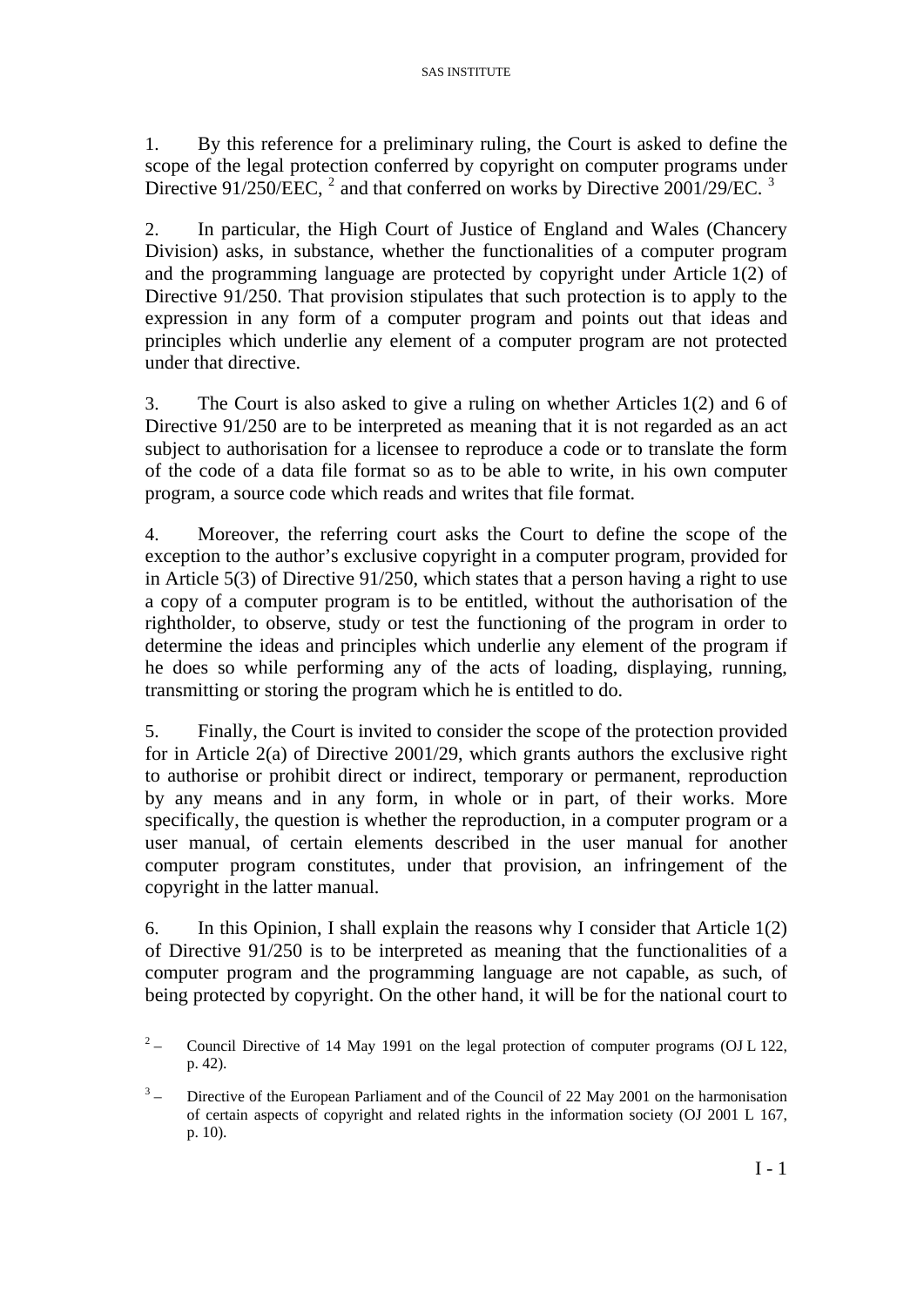1. By this reference for a preliminary ruling, the Court is asked to define the scope of the legal protection conferred by copyright on computer programs under Directive 91/[2](#page-1-0)50/EEC, <sup>2</sup> and that conferred on works by Directive 2001/29/EC. <sup>[3](#page-1-1)</sup>

2. In particular, the High Court of Justice of England and Wales (Chancery Division) asks, in substance, whether the functionalities of a computer program and the programming language are protected by copyright under Article 1(2) of Directive 91/250. That provision stipulates that such protection is to apply to the expression in any form of a computer program and points out that ideas and principles which underlie any element of a computer program are not protected under that directive.

3. The Court is also asked to give a ruling on whether Articles 1(2) and 6 of Directive 91/250 are to be interpreted as meaning that it is not regarded as an act subject to authorisation for a licensee to reproduce a code or to translate the form of the code of a data file format so as to be able to write, in his own computer program, a source code which reads and writes that file format.

4. Moreover, the referring court asks the Court to define the scope of the exception to the author's exclusive copyright in a computer program, provided for in Article 5(3) of Directive 91/250, which states that a person having a right to use a copy of a computer program is to be entitled, without the authorisation of the rightholder, to observe, study or test the functioning of the program in order to determine the ideas and principles which underlie any element of the program if he does so while performing any of the acts of loading, displaying, running, transmitting or storing the program which he is entitled to do.

5. Finally, the Court is invited to consider the scope of the protection provided for in Article 2(a) of Directive 2001/29, which grants authors the exclusive right to authorise or prohibit direct or indirect, temporary or permanent, reproduction by any means and in any form, in whole or in part, of their works. More specifically, the question is whether the reproduction, in a computer program or a user manual, of certain elements described in the user manual for another computer program constitutes, under that provision, an infringement of the copyright in the latter manual.

6. In this Opinion, I shall explain the reasons why I consider that Article 1(2) of Directive 91/250 is to be interpreted as meaning that the functionalities of a computer program and the programming language are not capable, as such, of being protected by copyright. On the other hand, it will be for the national court to

<span id="page-1-0"></span> $2\overline{)}$  – Council Directive of 14 May 1991 on the legal protection of computer programs (OJ L 122, p. 42).

<span id="page-1-1"></span> $3^{\circ}$  – Directive of the European Parliament and of the Council of 22 May 2001 on the harmonisation of certain aspects of copyright and related rights in the information society (OJ 2001 L 167, p. 10).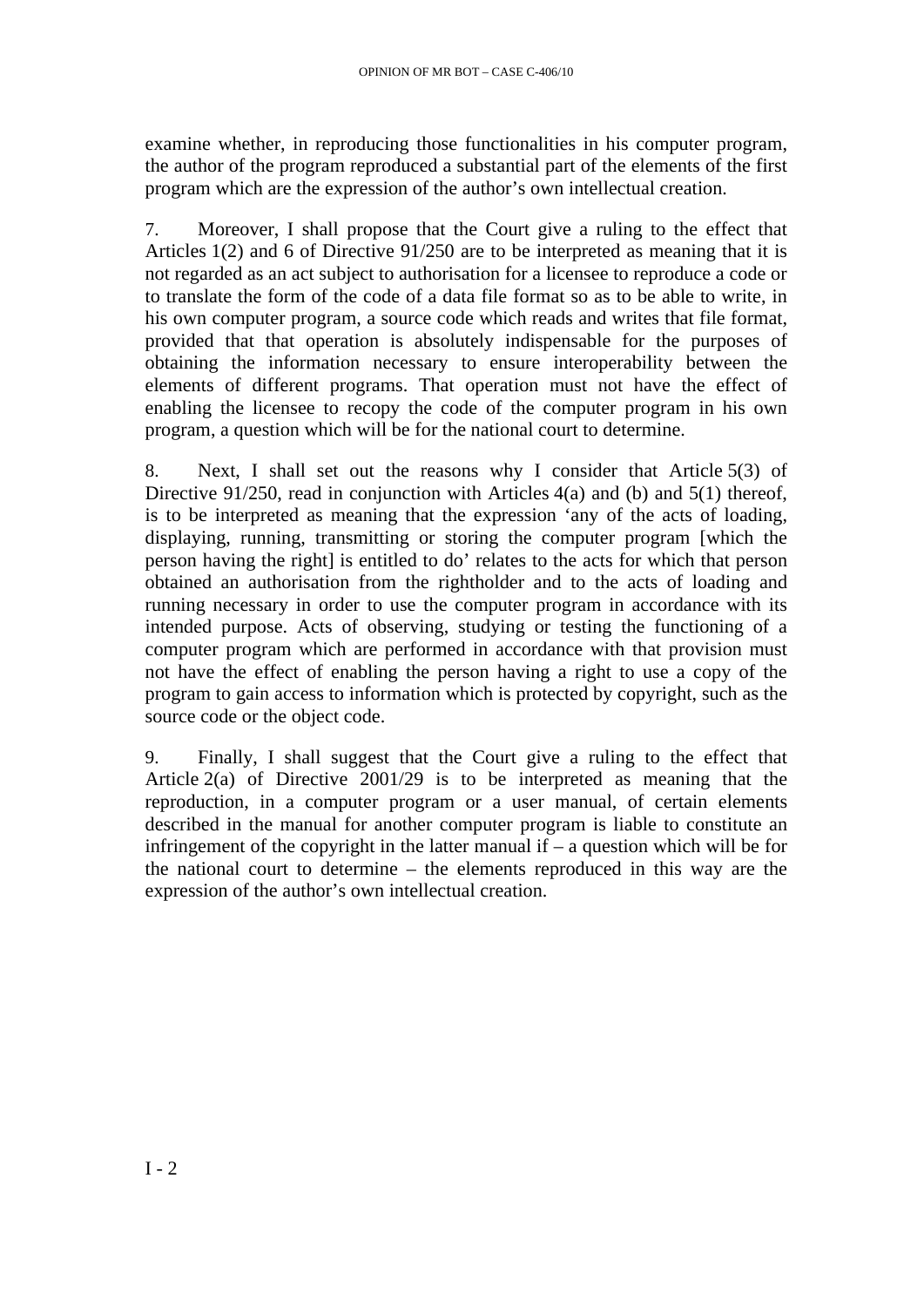examine whether, in reproducing those functionalities in his computer program, the author of the program reproduced a substantial part of the elements of the first program which are the expression of the author's own intellectual creation.

7. Moreover, I shall propose that the Court give a ruling to the effect that Articles 1(2) and 6 of Directive 91/250 are to be interpreted as meaning that it is not regarded as an act subject to authorisation for a licensee to reproduce a code or to translate the form of the code of a data file format so as to be able to write, in his own computer program, a source code which reads and writes that file format, provided that that operation is absolutely indispensable for the purposes of obtaining the information necessary to ensure interoperability between the elements of different programs. That operation must not have the effect of enabling the licensee to recopy the code of the computer program in his own program, a question which will be for the national court to determine.

8. Next, I shall set out the reasons why I consider that Article 5(3) of Directive 91/250, read in conjunction with Articles 4(a) and (b) and 5(1) thereof, is to be interpreted as meaning that the expression 'any of the acts of loading, displaying, running, transmitting or storing the computer program [which the person having the right] is entitled to do' relates to the acts for which that person obtained an authorisation from the rightholder and to the acts of loading and running necessary in order to use the computer program in accordance with its intended purpose. Acts of observing, studying or testing the functioning of a computer program which are performed in accordance with that provision must not have the effect of enabling the person having a right to use a copy of the program to gain access to information which is protected by copyright, such as the source code or the object code.

9. Finally, I shall suggest that the Court give a ruling to the effect that Article 2(a) of Directive 2001/29 is to be interpreted as meaning that the reproduction, in a computer program or a user manual, of certain elements described in the manual for another computer program is liable to constitute an infringement of the copyright in the latter manual if  $-$  a question which will be for the national court to determine – the elements reproduced in this way are the expression of the author's own intellectual creation.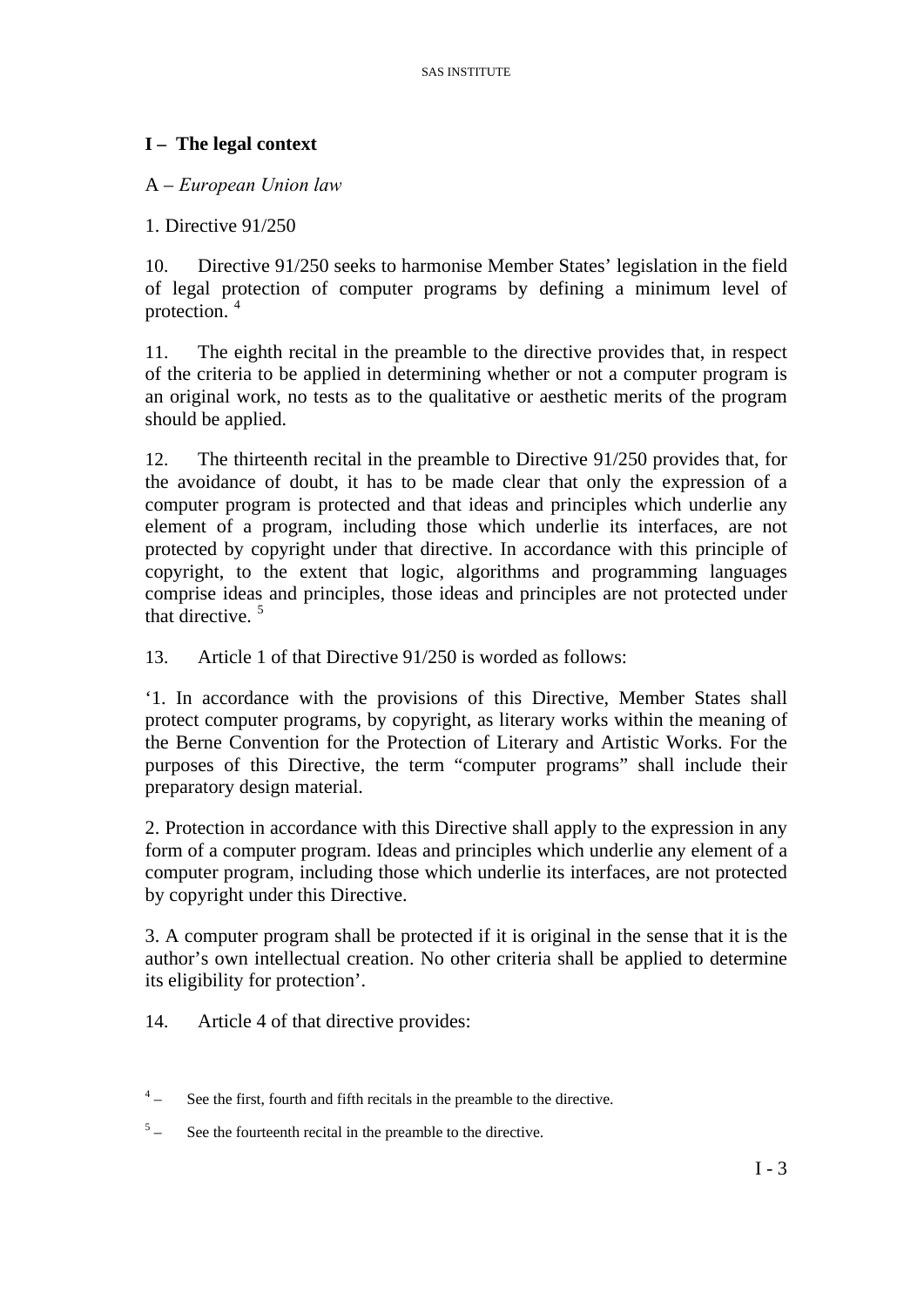### **I – The legal context**

#### A – *European Union law*

1. Directive 91/250

10. Directive 91/250 seeks to harmonise Member States' legislation in the field of legal protection of computer programs by defining a minimum level of protection. [4](#page-3-0)

11. The eighth recital in the preamble to the directive provides that, in respect of the criteria to be applied in determining whether or not a computer program is an original work, no tests as to the qualitative or aesthetic merits of the program should be applied.

12. The thirteenth recital in the preamble to Directive 91/250 provides that, for the avoidance of doubt, it has to be made clear that only the expression of a computer program is protected and that ideas and principles which underlie any element of a program, including those which underlie its interfaces, are not protected by copyright under that directive. In accordance with this principle of copyright, to the extent that logic, algorithms and programming languages comprise ideas and principles, those ideas and principles are not protected under that directive. [5](#page-3-1)

13. Article 1 of that Directive 91/250 is worded as follows:

'1. In accordance with the provisions of this Directive, Member States shall protect computer programs, by copyright, as literary works within the meaning of the Berne Convention for the Protection of Literary and Artistic Works. For the purposes of this Directive, the term "computer programs" shall include their preparatory design material.

2. Protection in accordance with this Directive shall apply to the expression in any form of a computer program. Ideas and principles which underlie any element of a computer program, including those which underlie its interfaces, are not protected by copyright under this Directive.

3. A computer program shall be protected if it is original in the sense that it is the author's own intellectual creation. No other criteria shall be applied to determine its eligibility for protection'.

14. Article 4 of that directive provides:

- <span id="page-3-0"></span> $4\frac{1}{2}$ – See the first, fourth and fifth recitals in the preamble to the directive.
- <span id="page-3-1"></span> $5^{\circ}$ See the fourteenth recital in the preamble to the directive.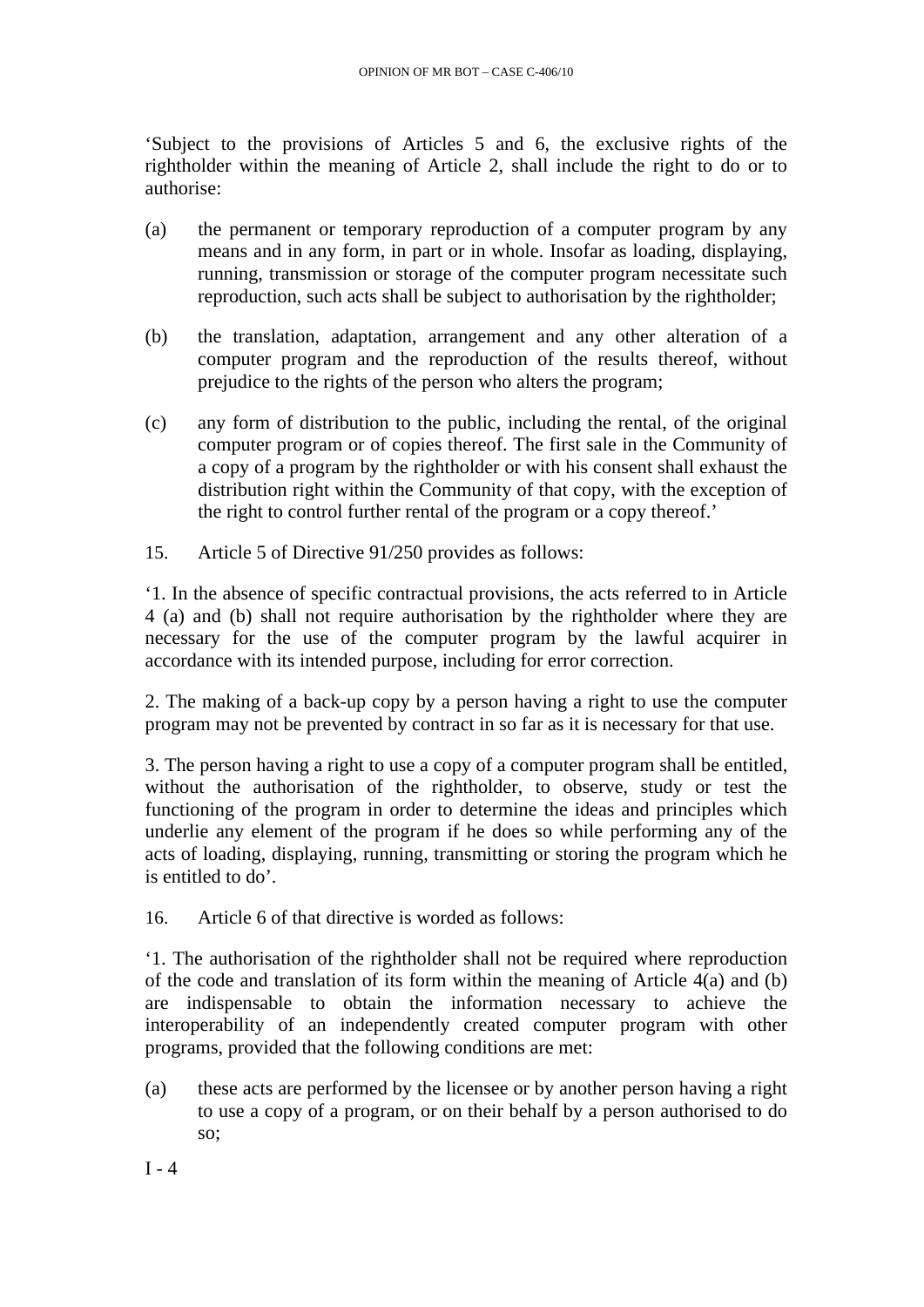'Subject to the provisions of Articles 5 and 6, the exclusive rights of the rightholder within the meaning of Article 2, shall include the right to do or to authorise:

- (a) the permanent or temporary reproduction of a computer program by any means and in any form, in part or in whole. Insofar as loading, displaying, running, transmission or storage of the computer program necessitate such reproduction, such acts shall be subject to authorisation by the rightholder;
- (b) the translation, adaptation, arrangement and any other alteration of a computer program and the reproduction of the results thereof, without prejudice to the rights of the person who alters the program;
- (c) any form of distribution to the public, including the rental, of the original computer program or of copies thereof. The first sale in the Community of a copy of a program by the rightholder or with his consent shall exhaust the distribution right within the Community of that copy, with the exception of the right to control further rental of the program or a copy thereof.'
- 15. Article 5 of Directive 91/250 provides as follows:

'1. In the absence of specific contractual provisions, the acts referred to in Article 4 (a) and (b) shall not require authorisation by the rightholder where they are necessary for the use of the computer program by the lawful acquirer in accordance with its intended purpose, including for error correction.

2. The making of a back-up copy by a person having a right to use the computer program may not be prevented by contract in so far as it is necessary for that use.

3. The person having a right to use a copy of a computer program shall be entitled, without the authorisation of the rightholder, to observe, study or test the functioning of the program in order to determine the ideas and principles which underlie any element of the program if he does so while performing any of the acts of loading, displaying, running, transmitting or storing the program which he is entitled to do'.

16. Article 6 of that directive is worded as follows:

'1. The authorisation of the rightholder shall not be required where reproduction of the code and translation of its form within the meaning of Article  $\hat{A}(a)$  and (b) are indispensable to obtain the information necessary to achieve the interoperability of an independently created computer program with other programs, provided that the following conditions are met:

(a) these acts are performed by the licensee or by another person having a right to use a copy of a program, or on their behalf by a person authorised to do so;

 $I - 4$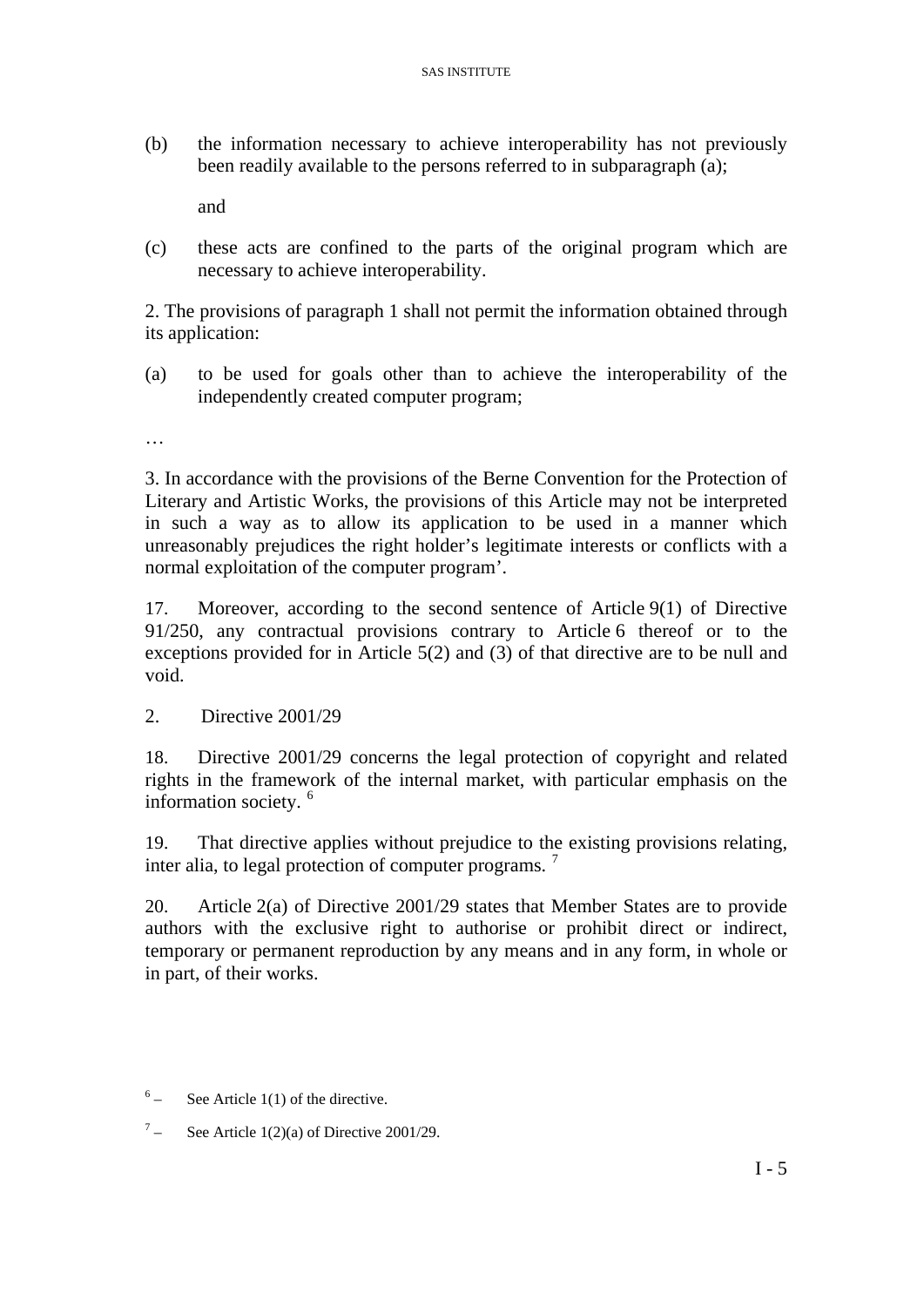(b) the information necessary to achieve interoperability has not previously been readily available to the persons referred to in subparagraph (a);

and

(c) these acts are confined to the parts of the original program which are necessary to achieve interoperability.

2. The provisions of paragraph 1 shall not permit the information obtained through its application:

(a) to be used for goals other than to achieve the interoperability of the independently created computer program;

…

3. In accordance with the provisions of the Berne Convention for the Protection of Literary and Artistic Works, the provisions of this Article may not be interpreted in such a way as to allow its application to be used in a manner which unreasonably prejudices the right holder's legitimate interests or conflicts with a normal exploitation of the computer program'.

17. Moreover, according to the second sentence of Article 9(1) of Directive 91/250, any contractual provisions contrary to Article 6 thereof or to the exceptions provided for in Article 5(2) and (3) of that directive are to be null and void.

2. Directive 2001/29

18. Directive 2001/29 concerns the legal protection of copyright and related rights in the framework of the internal market, with particular emphasis on the information society. [6](#page-5-0)

19. That directive applies without prejudice to the existing provisions relating, inter alia, to legal protection of computer programs.<sup>[7](#page-5-1)</sup>

20. Article 2(a) of Directive 2001/29 states that Member States are to provide authors with the exclusive right to authorise or prohibit direct or indirect, temporary or permanent reproduction by any means and in any form, in whole or in part, of their works.

- <span id="page-5-0"></span> $6 -$  See Article 1(1) of the directive.
- <span id="page-5-1"></span> $7\qquad$ – See Article 1(2)(a) of Directive 2001/29.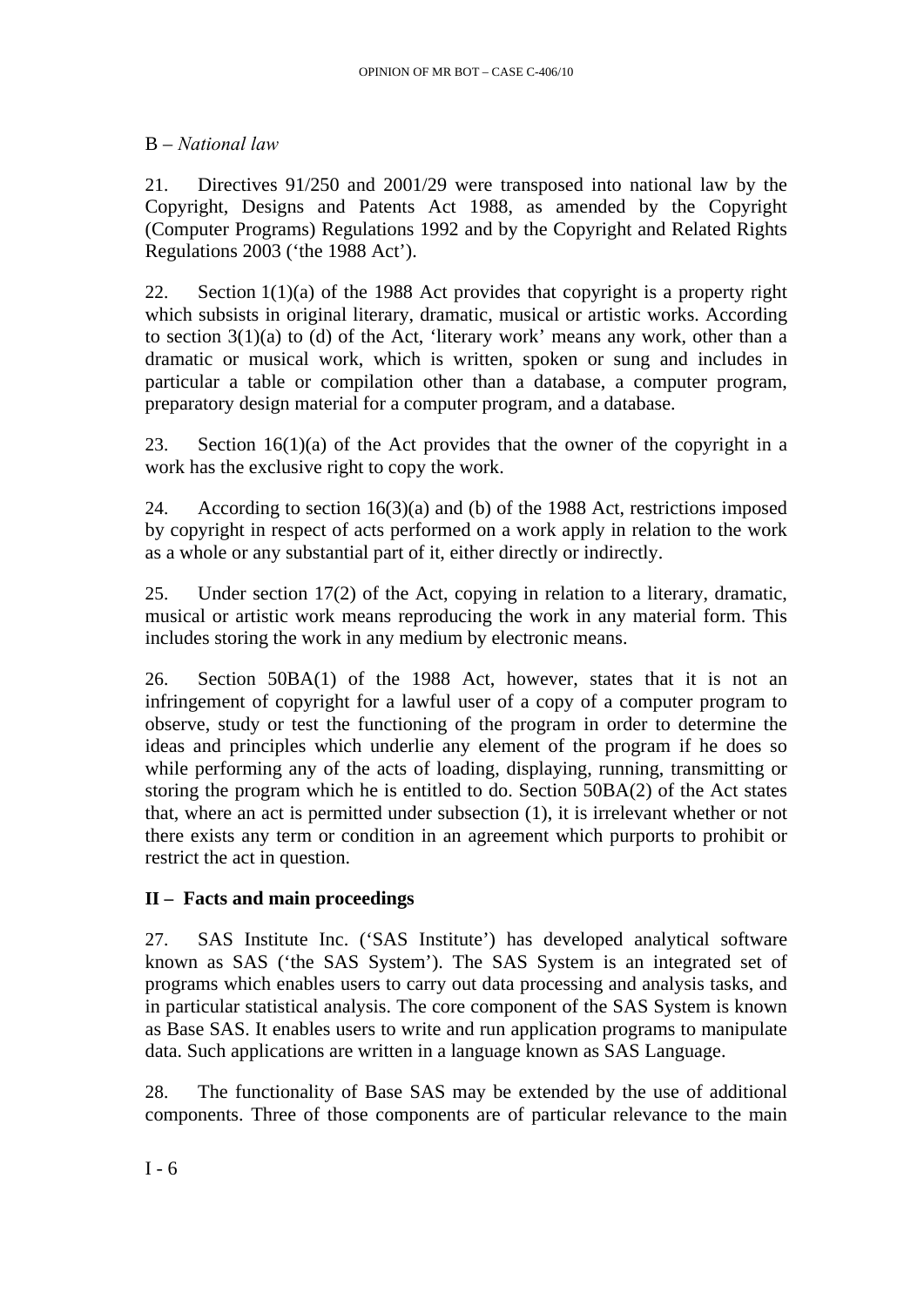### B – *National law*

21. Directives 91/250 and 2001/29 were transposed into national law by the Copyright, Designs and Patents Act 1988, as amended by the Copyright (Computer Programs) Regulations 1992 and by the Copyright and Related Rights Regulations 2003 ('the 1988 Act').

22. Section 1(1)(a) of the 1988 Act provides that copyright is a property right which subsists in original literary, dramatic, musical or artistic works. According to section  $3(1)(a)$  to (d) of the Act, 'literary work' means any work, other than a dramatic or musical work, which is written, spoken or sung and includes in particular a table or compilation other than a database, a computer program, preparatory design material for a computer program, and a database.

23. Section 16(1)(a) of the Act provides that the owner of the copyright in a work has the exclusive right to copy the work.

24. According to section 16(3)(a) and (b) of the 1988 Act, restrictions imposed by copyright in respect of acts performed on a work apply in relation to the work as a whole or any substantial part of it, either directly or indirectly.

25. Under section 17(2) of the Act, copying in relation to a literary, dramatic, musical or artistic work means reproducing the work in any material form. This includes storing the work in any medium by electronic means.

26. Section 50BA(1) of the 1988 Act, however, states that it is not an infringement of copyright for a lawful user of a copy of a computer program to observe, study or test the functioning of the program in order to determine the ideas and principles which underlie any element of the program if he does so while performing any of the acts of loading, displaying, running, transmitting or storing the program which he is entitled to do. Section 50BA(2) of the Act states that, where an act is permitted under subsection (1), it is irrelevant whether or not there exists any term or condition in an agreement which purports to prohibit or restrict the act in question.

# **II – Facts and main proceedings**

27. SAS Institute Inc. ('SAS Institute') has developed analytical software known as SAS ('the SAS System'). The SAS System is an integrated set of programs which enables users to carry out data processing and analysis tasks, and in particular statistical analysis. The core component of the SAS System is known as Base SAS. It enables users to write and run application programs to manipulate data. Such applications are written in a language known as SAS Language.

28. The functionality of Base SAS may be extended by the use of additional components. Three of those components are of particular relevance to the main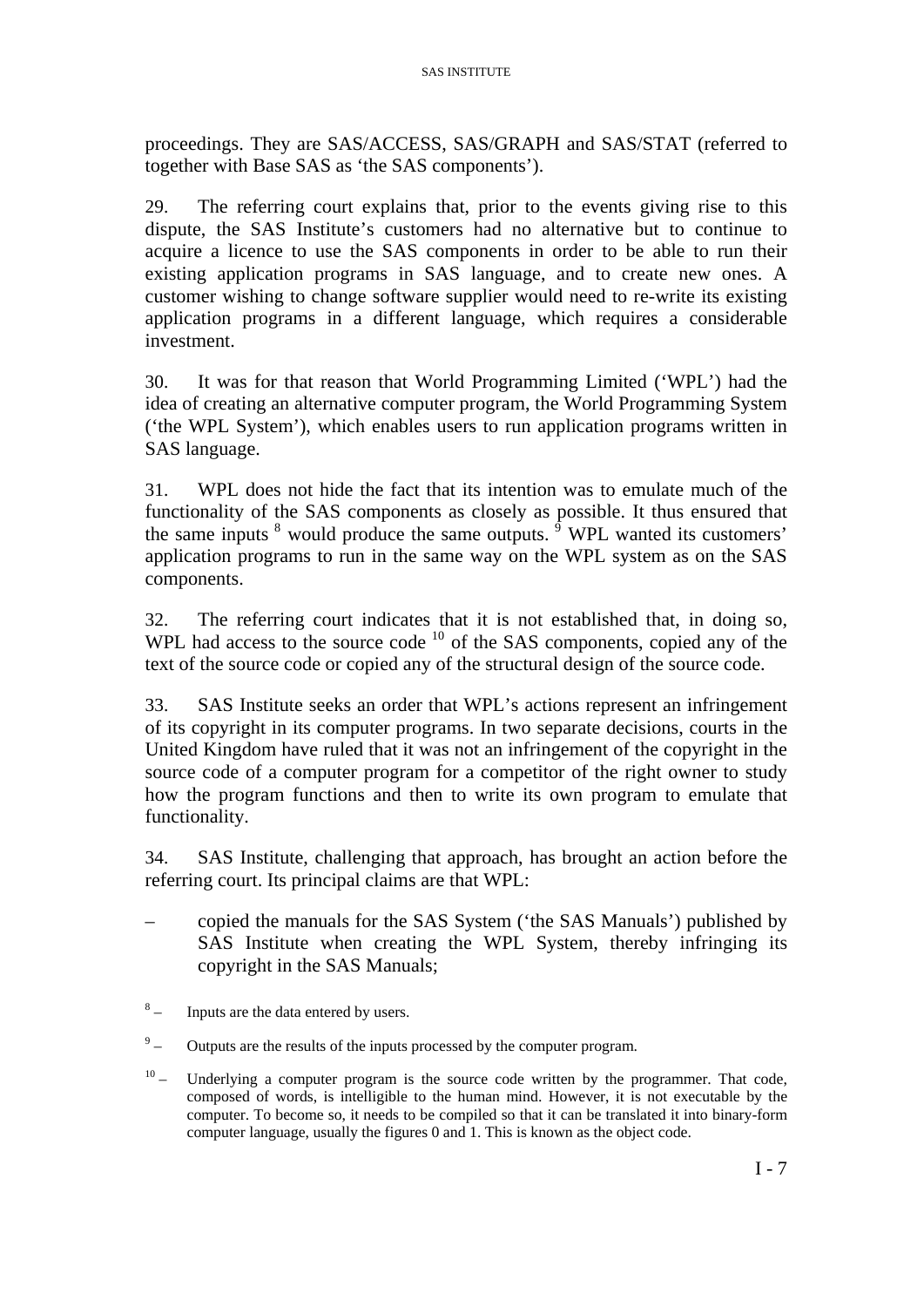proceedings. They are SAS/ACCESS, SAS/GRAPH and SAS/STAT (referred to together with Base SAS as 'the SAS components').

29. The referring court explains that, prior to the events giving rise to this dispute, the SAS Institute's customers had no alternative but to continue to acquire a licence to use the SAS components in order to be able to run their existing application programs in SAS language, and to create new ones. A customer wishing to change software supplier would need to re-write its existing application programs in a different language, which requires a considerable investment.

30. It was for that reason that World Programming Limited ('WPL') had the idea of creating an alternative computer program, the World Programming System ('the WPL System'), which enables users to run application programs written in SAS language.

31. WPL does not hide the fact that its intention was to emulate much of the functionality of the SAS components as closely as possible. It thus ensured that the same inputs  $\delta$  would produce the same outputs.  $\delta$  WPL wanted its customers' application programs to run in the same way on the WPL system as on the SAS components.

32. The referring court indicates that it is not established that, in doing so, WPL had access to the source code <sup>[10](#page-7-2)</sup> of the SAS components, copied any of the text of the source code or copied any of the structural design of the source code.

33. SAS Institute seeks an order that WPL's actions represent an infringement of its copyright in its computer programs. In two separate decisions, courts in the United Kingdom have ruled that it was not an infringement of the copyright in the source code of a computer program for a competitor of the right owner to study how the program functions and then to write its own program to emulate that functionality.

34. SAS Institute, challenging that approach, has brought an action before the referring court. Its principal claims are that WPL:

- copied the manuals for the SAS System ('the SAS Manuals') published by SAS Institute when creating the WPL System, thereby infringing its copyright in the SAS Manuals;
- <span id="page-7-0"></span> $8\phantom{.}$ – Inputs are the data entered by users.
- <span id="page-7-1"></span> $9 -$  Outputs are the results of the inputs processed by the computer program.
- <span id="page-7-2"></span><sup>10</sup> – Underlying a computer program is the source code written by the programmer. That code, composed of words, is intelligible to the human mind. However, it is not executable by the computer. To become so, it needs to be compiled so that it can be translated it into binary-form computer language, usually the figures 0 and 1. This is known as the object code.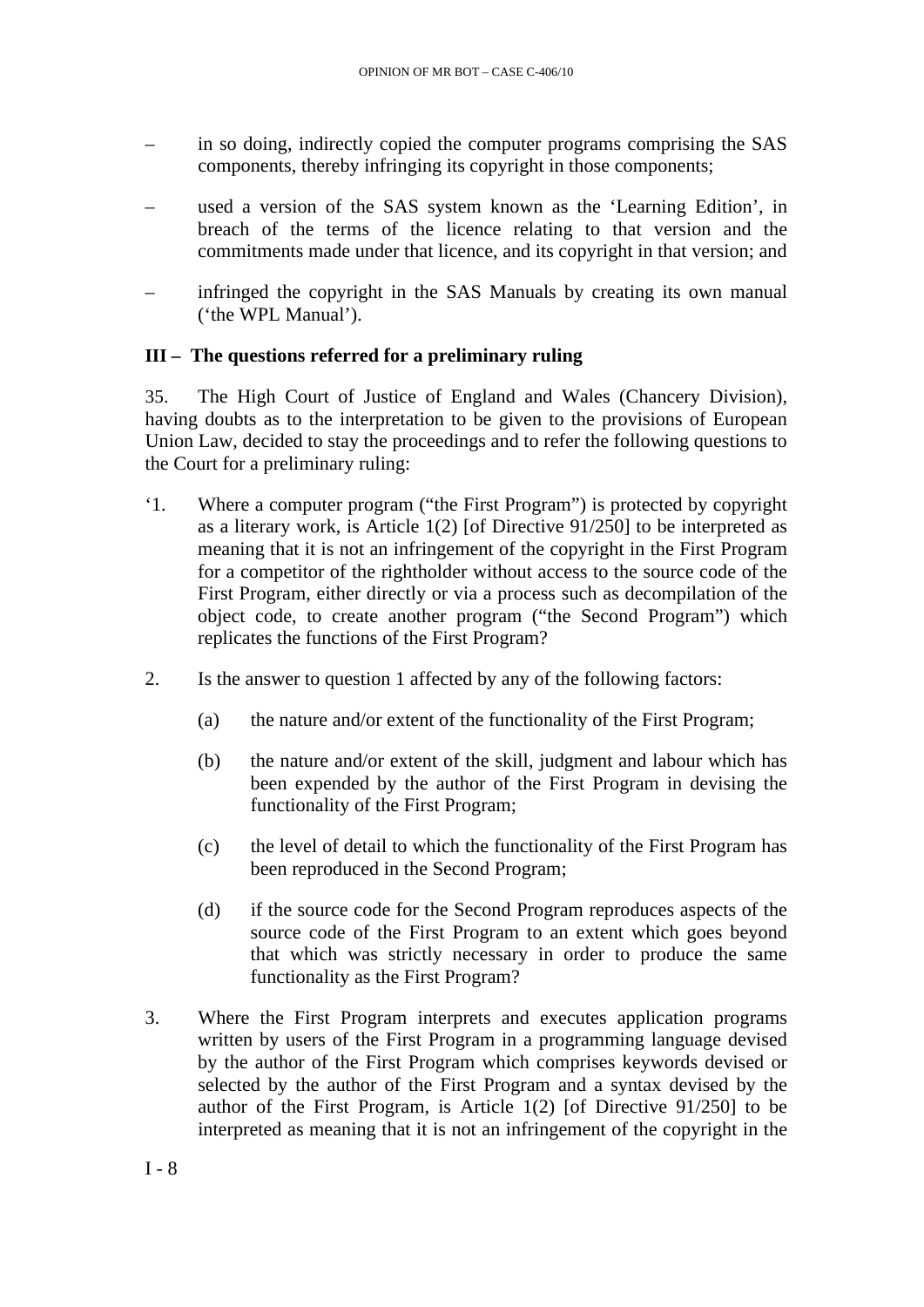- in so doing, indirectly copied the computer programs comprising the SAS components, thereby infringing its copyright in those components;
- used a version of the SAS system known as the 'Learning Edition', in breach of the terms of the licence relating to that version and the commitments made under that licence, and its copyright in that version; and
- infringed the copyright in the SAS Manuals by creating its own manual ('the WPL Manual').

### **III – The questions referred for a preliminary ruling**

35. The High Court of Justice of England and Wales (Chancery Division), having doubts as to the interpretation to be given to the provisions of European Union Law, decided to stay the proceedings and to refer the following questions to the Court for a preliminary ruling:

- '1. Where a computer program ("the First Program") is protected by copyright as a literary work, is Article  $1(2)$  [of Directive  $91/250$ ] to be interpreted as meaning that it is not an infringement of the copyright in the First Program for a competitor of the rightholder without access to the source code of the First Program, either directly or via a process such as decompilation of the object code, to create another program ("the Second Program") which replicates the functions of the First Program?
- 2. Is the answer to question 1 affected by any of the following factors:
	- (a) the nature and/or extent of the functionality of the First Program;
	- (b) the nature and/or extent of the skill, judgment and labour which has been expended by the author of the First Program in devising the functionality of the First Program;
	- (c) the level of detail to which the functionality of the First Program has been reproduced in the Second Program;
	- (d) if the source code for the Second Program reproduces aspects of the source code of the First Program to an extent which goes beyond that which was strictly necessary in order to produce the same functionality as the First Program?
- 3. Where the First Program interprets and executes application programs written by users of the First Program in a programming language devised by the author of the First Program which comprises keywords devised or selected by the author of the First Program and a syntax devised by the author of the First Program, is Article 1(2) [of Directive 91/250] to be interpreted as meaning that it is not an infringement of the copyright in the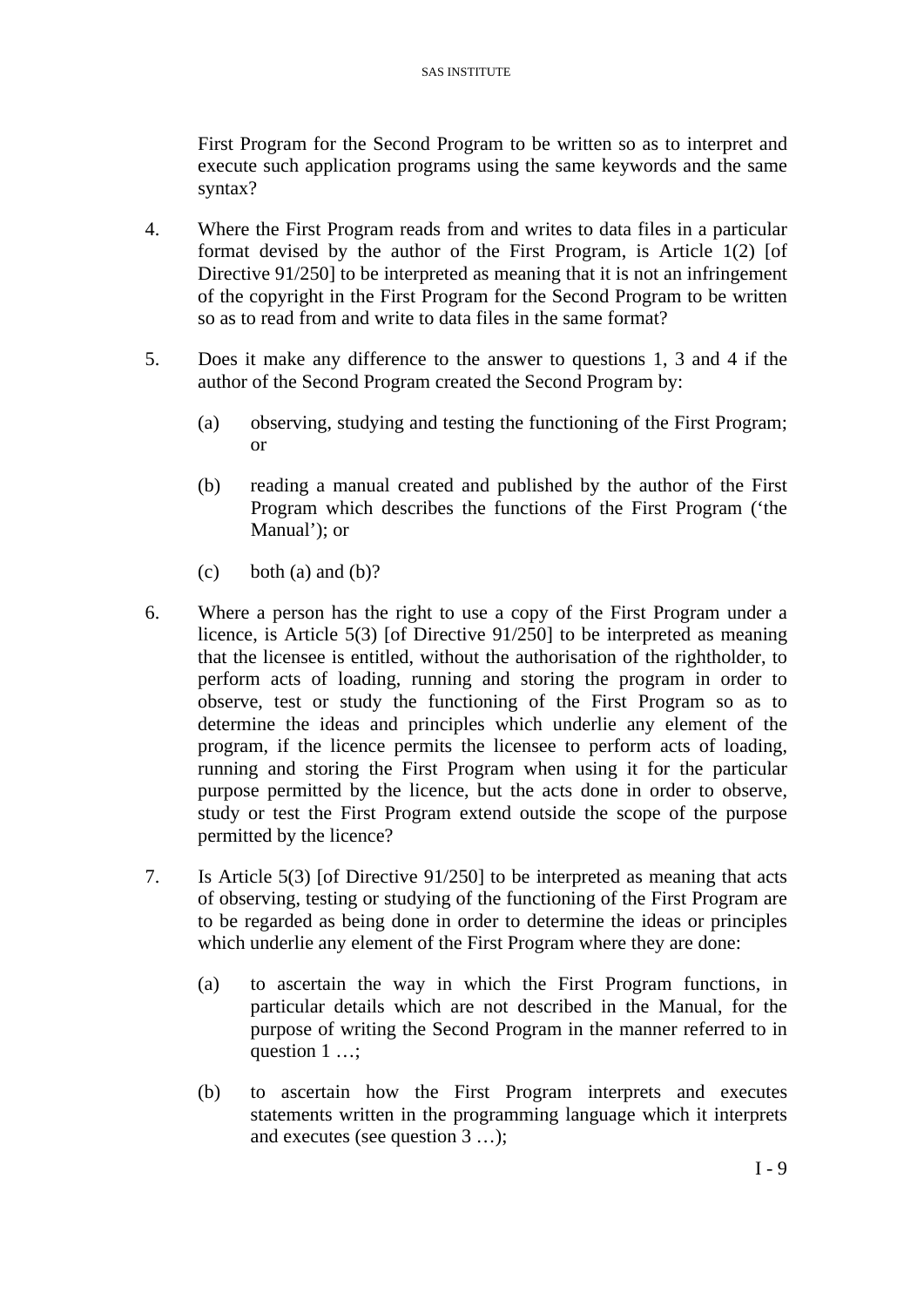First Program for the Second Program to be written so as to interpret and execute such application programs using the same keywords and the same syntax?

- 4. Where the First Program reads from and writes to data files in a particular format devised by the author of the First Program, is Article 1(2) [of Directive 91/250] to be interpreted as meaning that it is not an infringement of the copyright in the First Program for the Second Program to be written so as to read from and write to data files in the same format?
- 5. Does it make any difference to the answer to questions 1, 3 and 4 if the author of the Second Program created the Second Program by:
	- (a) observing, studying and testing the functioning of the First Program; or
	- (b) reading a manual created and published by the author of the First Program which describes the functions of the First Program ('the Manual'); or
	- $(c)$  both  $(a)$  and  $(b)$ ?
- 6. Where a person has the right to use a copy of the First Program under a licence, is Article 5(3) [of Directive 91/250] to be interpreted as meaning that the licensee is entitled, without the authorisation of the rightholder, to perform acts of loading, running and storing the program in order to observe, test or study the functioning of the First Program so as to determine the ideas and principles which underlie any element of the program, if the licence permits the licensee to perform acts of loading, running and storing the First Program when using it for the particular purpose permitted by the licence, but the acts done in order to observe, study or test the First Program extend outside the scope of the purpose permitted by the licence?
- 7. Is Article 5(3) [of Directive 91/250] to be interpreted as meaning that acts of observing, testing or studying of the functioning of the First Program are to be regarded as being done in order to determine the ideas or principles which underlie any element of the First Program where they are done:
	- (a) to ascertain the way in which the First Program functions, in particular details which are not described in the Manual, for the purpose of writing the Second Program in the manner referred to in question 1 …;
	- (b) to ascertain how the First Program interprets and executes statements written in the programming language which it interprets and executes (see question 3 …);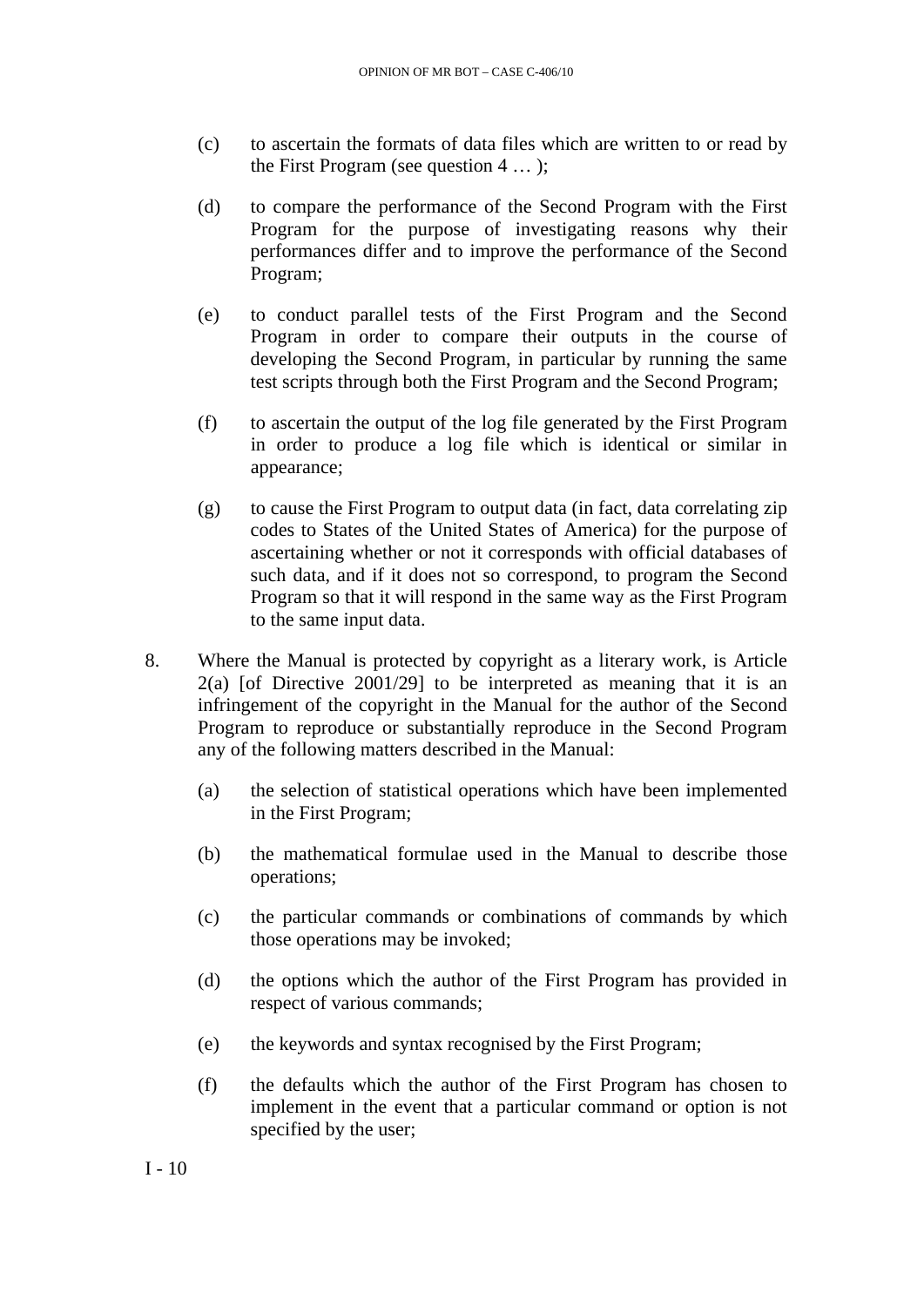- (c) to ascertain the formats of data files which are written to or read by the First Program (see question 4 … );
- (d) to compare the performance of the Second Program with the First Program for the purpose of investigating reasons why their performances differ and to improve the performance of the Second Program;
- (e) to conduct parallel tests of the First Program and the Second Program in order to compare their outputs in the course of developing the Second Program, in particular by running the same test scripts through both the First Program and the Second Program;
- (f) to ascertain the output of the log file generated by the First Program in order to produce a log file which is identical or similar in appearance;
- (g) to cause the First Program to output data (in fact, data correlating zip codes to States of the United States of America) for the purpose of ascertaining whether or not it corresponds with official databases of such data, and if it does not so correspond, to program the Second Program so that it will respond in the same way as the First Program to the same input data.
- 8. Where the Manual is protected by copyright as a literary work, is Article  $2(a)$  [of Directive  $2001/29$ ] to be interpreted as meaning that it is an infringement of the copyright in the Manual for the author of the Second Program to reproduce or substantially reproduce in the Second Program any of the following matters described in the Manual:
	- (a) the selection of statistical operations which have been implemented in the First Program;
	- (b) the mathematical formulae used in the Manual to describe those operations;
	- (c) the particular commands or combinations of commands by which those operations may be invoked;
	- (d) the options which the author of the First Program has provided in respect of various commands;
	- (e) the keywords and syntax recognised by the First Program;
	- (f) the defaults which the author of the First Program has chosen to implement in the event that a particular command or option is not specified by the user;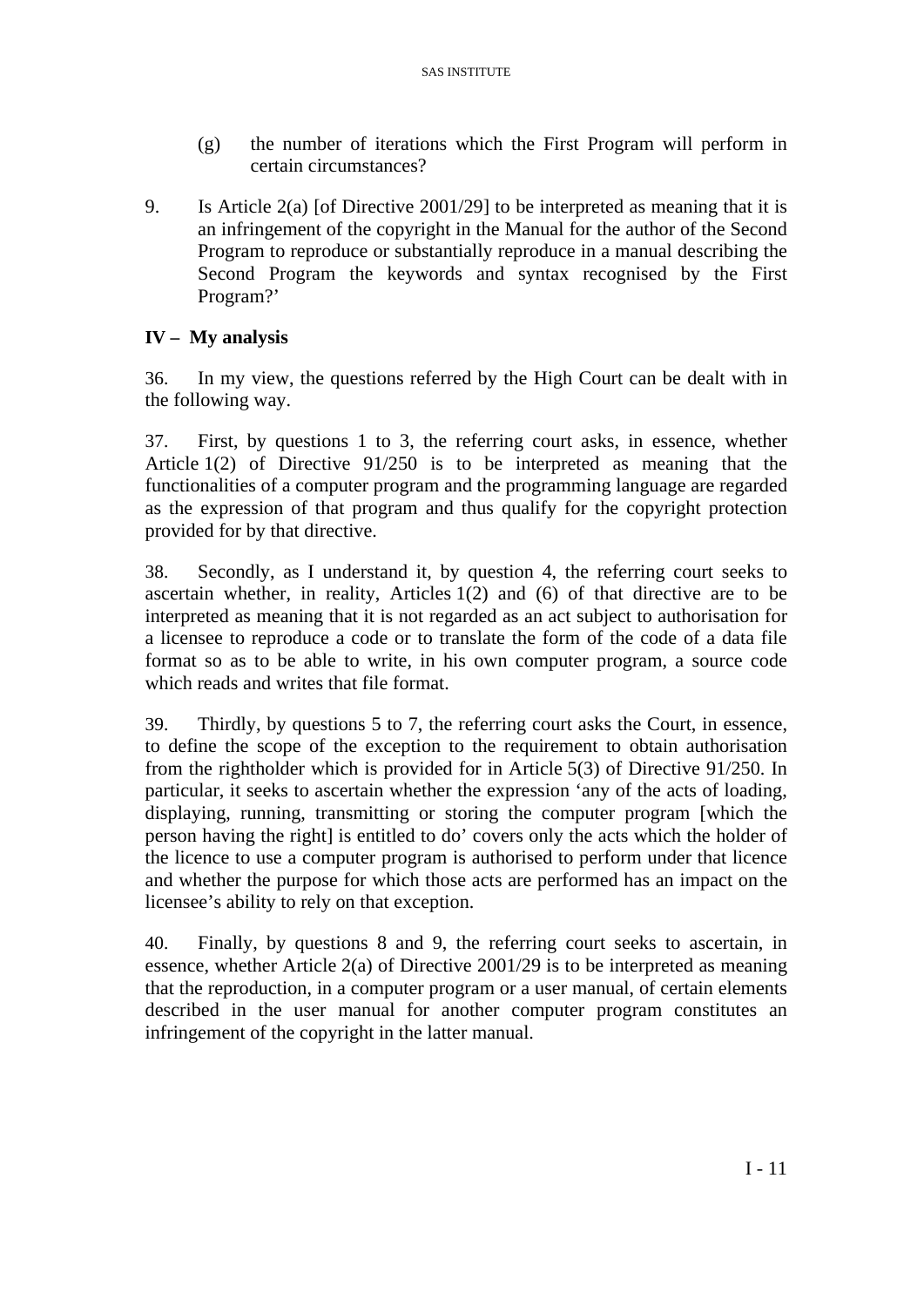- (g) the number of iterations which the First Program will perform in certain circumstances?
- 9. Is Article 2(a) [of Directive 2001/29] to be interpreted as meaning that it is an infringement of the copyright in the Manual for the author of the Second Program to reproduce or substantially reproduce in a manual describing the Second Program the keywords and syntax recognised by the First Program?'

# **IV – My analysis**

36. In my view, the questions referred by the High Court can be dealt with in the following way.

37. First, by questions 1 to 3, the referring court asks, in essence, whether Article 1(2) of Directive 91/250 is to be interpreted as meaning that the functionalities of a computer program and the programming language are regarded as the expression of that program and thus qualify for the copyright protection provided for by that directive.

38. Secondly, as I understand it, by question 4, the referring court seeks to ascertain whether, in reality, Articles 1(2) and (6) of that directive are to be interpreted as meaning that it is not regarded as an act subject to authorisation for a licensee to reproduce a code or to translate the form of the code of a data file format so as to be able to write, in his own computer program, a source code which reads and writes that file format.

39. Thirdly, by questions 5 to 7, the referring court asks the Court, in essence, to define the scope of the exception to the requirement to obtain authorisation from the rightholder which is provided for in Article 5(3) of Directive 91/250. In particular, it seeks to ascertain whether the expression 'any of the acts of loading, displaying, running, transmitting or storing the computer program [which the person having the right] is entitled to do' covers only the acts which the holder of the licence to use a computer program is authorised to perform under that licence and whether the purpose for which those acts are performed has an impact on the licensee's ability to rely on that exception.

40. Finally, by questions 8 and 9, the referring court seeks to ascertain, in essence, whether Article 2(a) of Directive 2001/29 is to be interpreted as meaning that the reproduction, in a computer program or a user manual, of certain elements described in the user manual for another computer program constitutes an infringement of the copyright in the latter manual.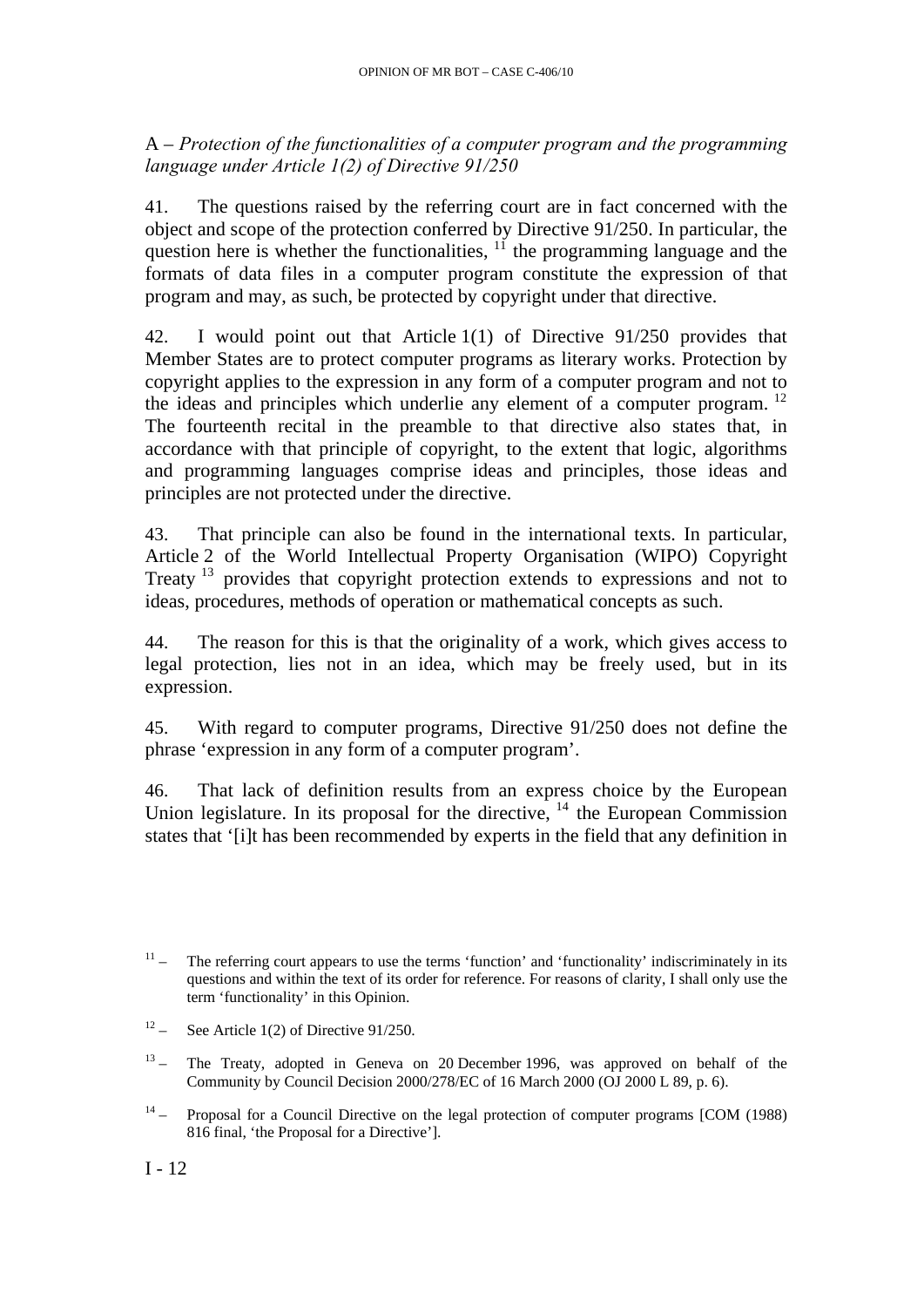A – *Protection of the functionalities of a computer program and the programming language under Article 1(2) of Directive 91/250* 

41. The questions raised by the referring court are in fact concerned with the object and scope of the protection conferred by Directive 91/250. In particular, the question here is whether the functionalities,  $11$  the programming language and the formats of data files in a computer program constitute the expression of that program and may, as such, be protected by copyright under that directive.

42. I would point out that Article 1(1) of Directive 91/250 provides that Member States are to protect computer programs as literary works. Protection by copyright applies to the expression in any form of a computer program and not to the ideas and principles which underlie any element of a computer program. <sup>[12](#page-12-1)</sup> The fourteenth recital in the preamble to that directive also states that, in accordance with that principle of copyright, to the extent that logic, algorithms and programming languages comprise ideas and principles, those ideas and principles are not protected under the directive.

43. That principle can also be found in the international texts. In particular, Article 2 of the World Intellectual Property Organisation (WIPO) Copyright Treaty [13](#page-12-2) provides that copyright protection extends to expressions and not to ideas, procedures, methods of operation or mathematical concepts as such.

44. The reason for this is that the originality of a work, which gives access to legal protection, lies not in an idea, which may be freely used, but in its expression.

45. With regard to computer programs, Directive 91/250 does not define the phrase 'expression in any form of a computer program'.

46. That lack of definition results from an express choice by the European Union legislature. In its proposal for the directive,  $14$  the European Commission states that '[i]t has been recommended by experts in the field that any definition in

- <span id="page-12-1"></span> $12 -$  See Article 1(2) of Directive 91/250.
- <span id="page-12-2"></span><sup>13</sup> – The Treaty, adopted in Geneva on 20 December 1996, was approved on behalf of the Community by Council Decision 2000/278/EC of 16 March 2000 (OJ 2000 L 89, p. 6).
- <span id="page-12-3"></span> $14 -$  Proposal for a Council Directive on the legal protection of computer programs [COM (1988) 816 final, 'the Proposal for a Directive'].

<span id="page-12-0"></span> $11 -$  The referring court appears to use the terms 'function' and 'functionality' indiscriminately in its questions and within the text of its order for reference. For reasons of clarity, I shall only use the term 'functionality' in this Opinion.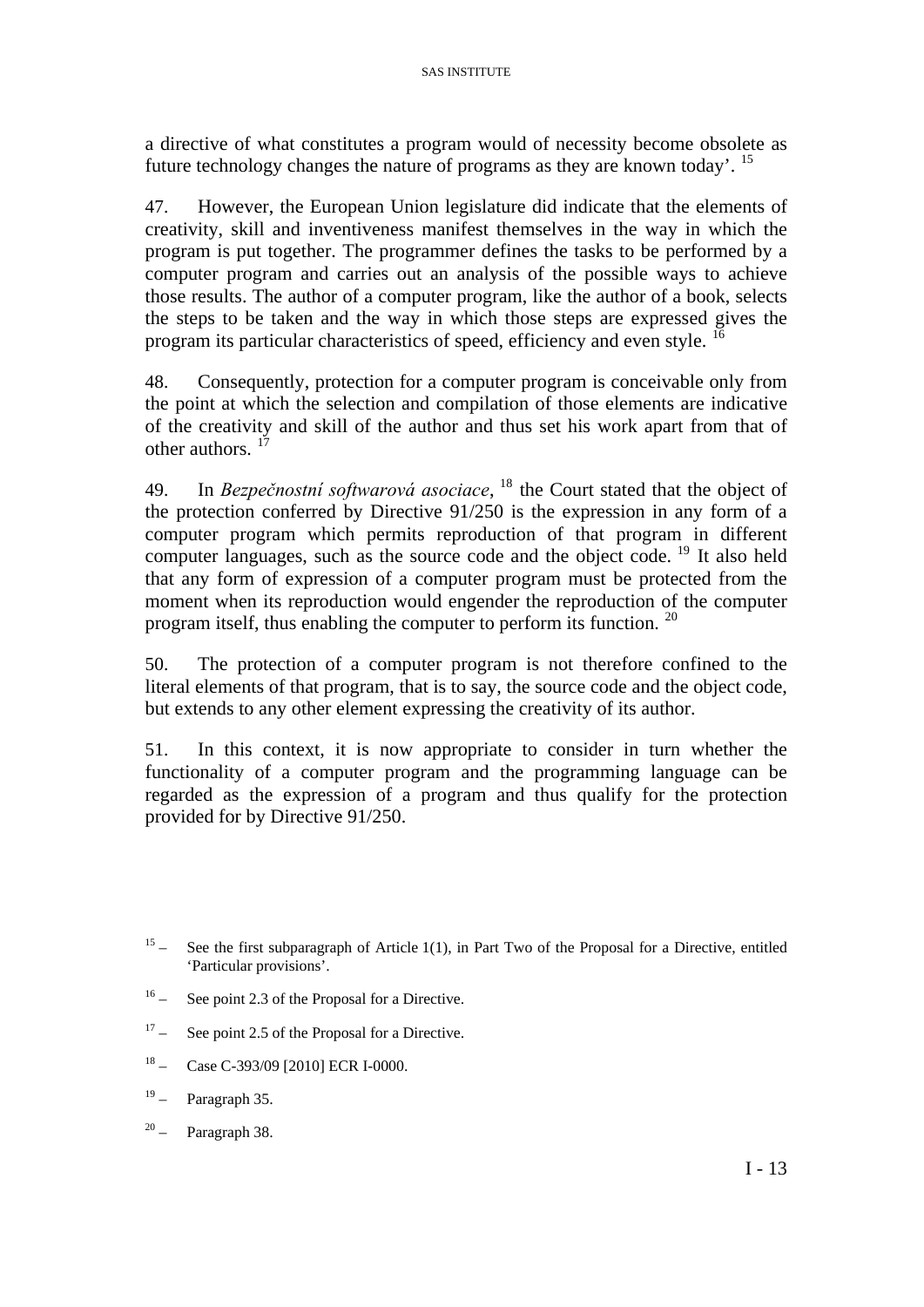a directive of what constitutes a program would of necessity become obsolete as future technology changes the nature of programs as they are known today'. [15](#page-13-0)

47. However, the European Union legislature did indicate that the elements of creativity, skill and inventiveness manifest themselves in the way in which the program is put together. The programmer defines the tasks to be performed by a computer program and carries out an analysis of the possible ways to achieve those results. The author of a computer program, like the author of a book, selects the steps to be taken and the way in which those steps are expressed gives the program its particular characteristics of speed, efficiency and even style. <sup>[16](#page-13-1)</sup>

48. Consequently, protection for a computer program is conceivable only from the point at which the selection and compilation of those elements are indicative of the creativity and skill of the author and thus set his work apart from that of other authors.  $1$ 

49. In *Bezpečnostní softwarová asociace*, [18](#page-13-3) the Court stated that the object of the protection conferred by Directive 91/250 is the expression in any form of a computer program which permits reproduction of that program in different computer languages, such as the source code and the object code. <sup>[19](#page-13-4)</sup> It also held that any form of expression of a computer program must be protected from the moment when its reproduction would engender the reproduction of the computer program itself, thus enabling the computer to perform its function. <sup>[20](#page-13-5)</sup>

50. The protection of a computer program is not therefore confined to the literal elements of that program, that is to say, the source code and the object code, but extends to any other element expressing the creativity of its author.

51. In this context, it is now appropriate to consider in turn whether the functionality of a computer program and the programming language can be regarded as the expression of a program and thus qualify for the protection provided for by Directive 91/250.

- <span id="page-13-1"></span>16 – See point 2.3 of the Proposal for a Directive.
- <span id="page-13-2"></span> $17 -$  See point 2.5 of the Proposal for a Directive.
- <span id="page-13-3"></span><sup>18</sup> – Case C-393/09 [2010] ECR I-0000.
- <span id="page-13-4"></span> $19 -$  Paragraph 35.
- <span id="page-13-5"></span> $20 -$  Paragraph 38.

<span id="page-13-0"></span> $15 -$  See the first subparagraph of Article 1(1), in Part Two of the Proposal for a Directive, entitled 'Particular provisions'.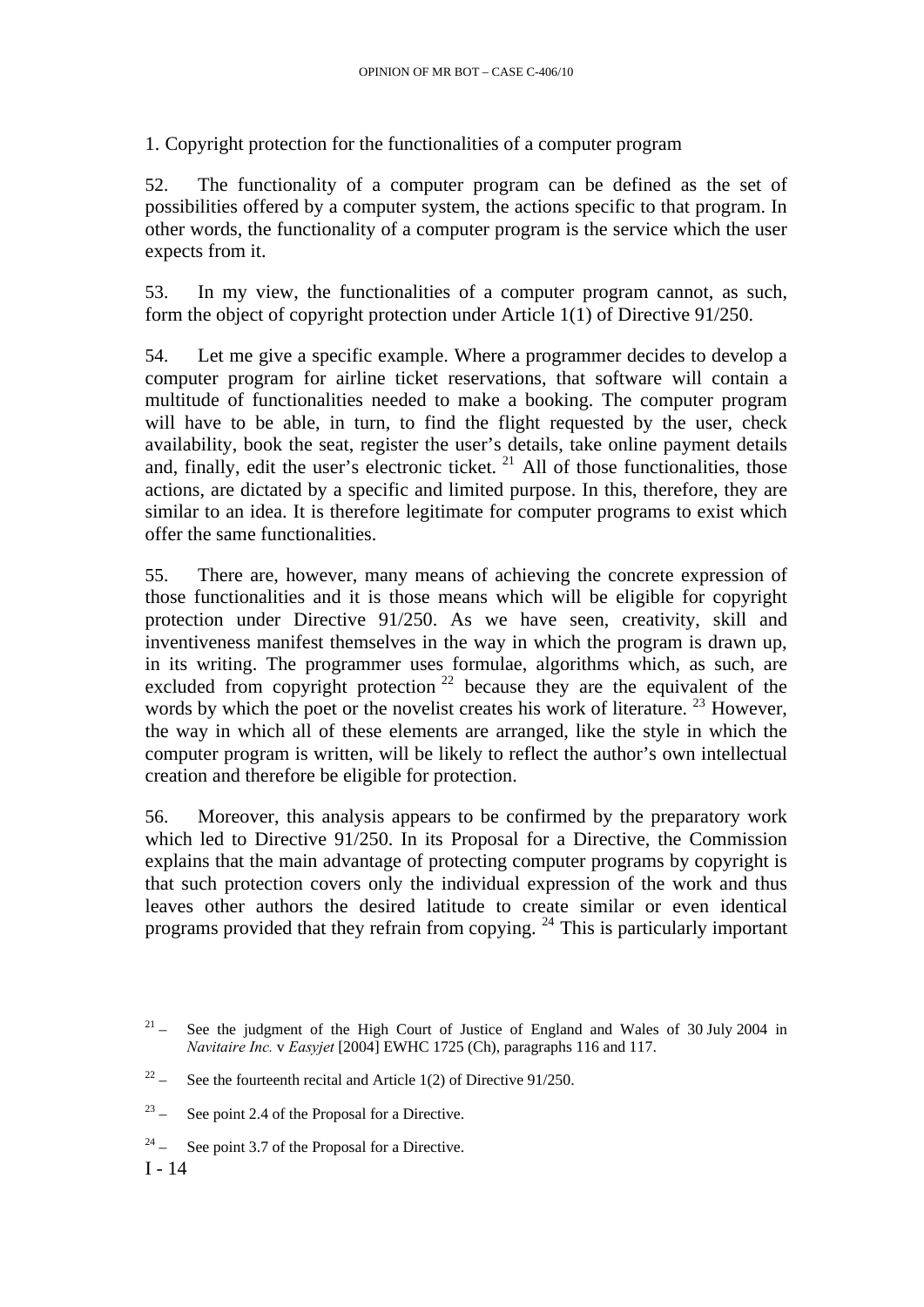1. Copyright protection for the functionalities of a computer program

52. The functionality of a computer program can be defined as the set of possibilities offered by a computer system, the actions specific to that program. In other words, the functionality of a computer program is the service which the user expects from it.

53. In my view, the functionalities of a computer program cannot, as such, form the object of copyright protection under Article 1(1) of Directive 91/250.

54. Let me give a specific example. Where a programmer decides to develop a computer program for airline ticket reservations, that software will contain a multitude of functionalities needed to make a booking. The computer program will have to be able, in turn, to find the flight requested by the user, check availability, book the seat, register the user's details, take online payment details and, finally, edit the user's electronic ticket.  $21$  All of those functionalities, those actions, are dictated by a specific and limited purpose. In this, therefore, they are similar to an idea. It is therefore legitimate for computer programs to exist which offer the same functionalities.

55. There are, however, many means of achieving the concrete expression of those functionalities and it is those means which will be eligible for copyright protection under Directive 91/250. As we have seen, creativity, skill and inventiveness manifest themselves in the way in which the program is drawn up, in its writing. The programmer uses formulae, algorithms which, as such, are excluded from copyright protection<sup>[22](#page-14-1)</sup> because they are the equivalent of the words by which the poet or the novelist creates his work of literature.  $^{23}$  $^{23}$  $^{23}$  However, the way in which all of these elements are arranged, like the style in which the computer program is written, will be likely to reflect the author's own intellectual creation and therefore be eligible for protection.

56. Moreover, this analysis appears to be confirmed by the preparatory work which led to Directive 91/250. In its Proposal for a Directive, the Commission explains that the main advantage of protecting computer programs by copyright is that such protection covers only the individual expression of the work and thus leaves other authors the desired latitude to create similar or even identical programs provided that they refrain from copying. [24](#page-14-3) This is particularly important

<span id="page-14-0"></span><sup>&</sup>lt;sup>21</sup> – See the judgment of the High Court of Justice of England and Wales of 30 July 2004 in *Navitaire Inc.* v *Easyjet* [2004] EWHC 1725 (Ch), paragraphs 116 and 117.

<span id="page-14-1"></span><sup>&</sup>lt;sup>22</sup> – See the fourteenth recital and Article 1(2) of Directive 91/250.

<span id="page-14-2"></span> $23 -$  See point 2.4 of the Proposal for a Directive.

<span id="page-14-3"></span> $24 -$  See point 3.7 of the Proposal for a Directive.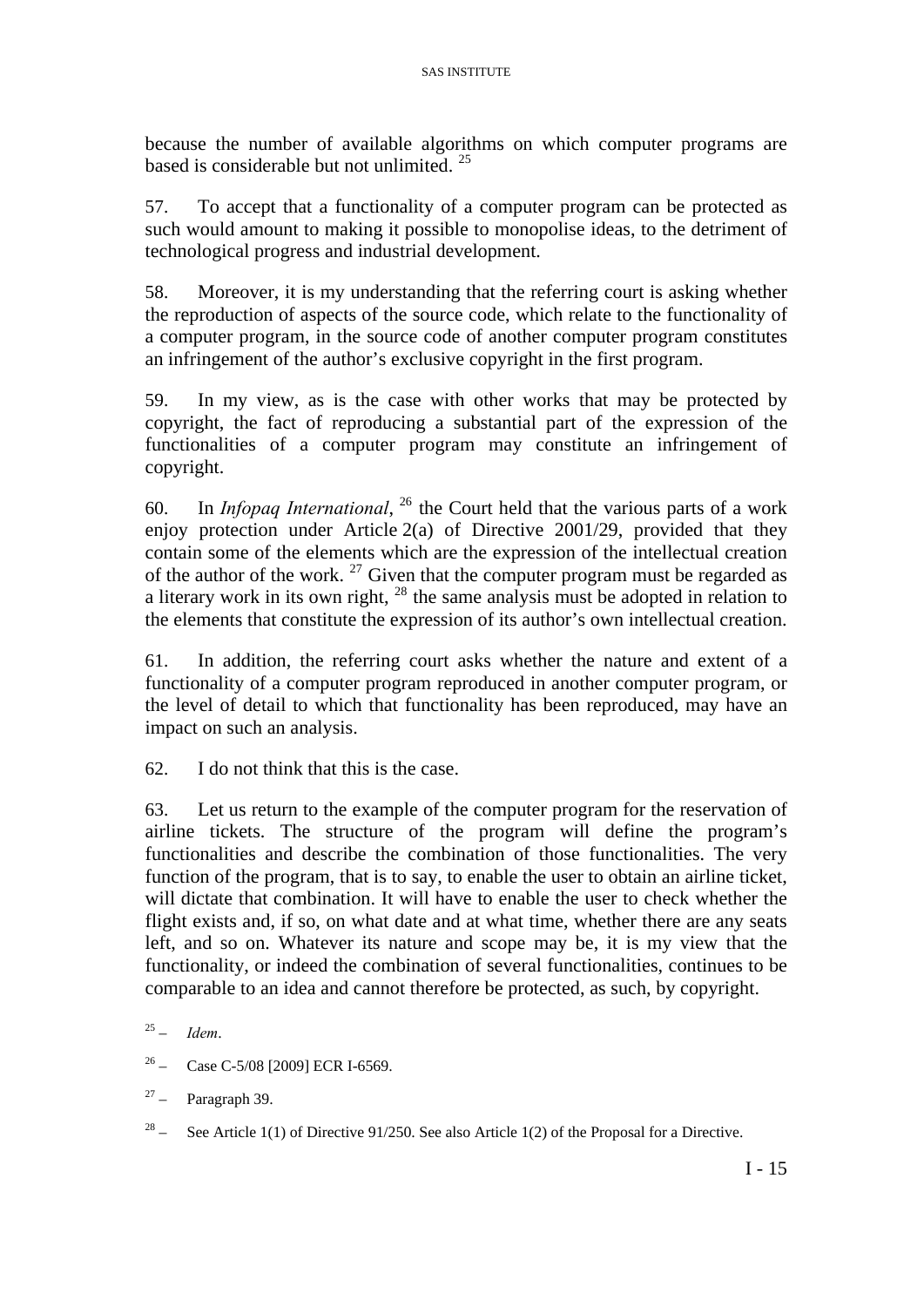because the number of available algorithms on which computer programs are based is considerable but not unlimited.  $25$ 

57. To accept that a functionality of a computer program can be protected as such would amount to making it possible to monopolise ideas, to the detriment of technological progress and industrial development.

58. Moreover, it is my understanding that the referring court is asking whether the reproduction of aspects of the source code, which relate to the functionality of a computer program, in the source code of another computer program constitutes an infringement of the author's exclusive copyright in the first program.

59. In my view, as is the case with other works that may be protected by copyright, the fact of reproducing a substantial part of the expression of the functionalities of a computer program may constitute an infringement of copyright.

60. In *Infopaq International*, [26](#page-15-1) the Court held that the various parts of a work enjoy protection under Article 2(a) of Directive 2001/29, provided that they contain some of the elements which are the expression of the intellectual creation of the author of the work.  $27$  Given that the computer program must be regarded as a literary work in its own right,  $28$  the same analysis must be adopted in relation to the elements that constitute the expression of its author's own intellectual creation.

61. In addition, the referring court asks whether the nature and extent of a functionality of a computer program reproduced in another computer program, or the level of detail to which that functionality has been reproduced, may have an impact on such an analysis.

62. I do not think that this is the case.

63. Let us return to the example of the computer program for the reservation of airline tickets. The structure of the program will define the program's functionalities and describe the combination of those functionalities. The very function of the program, that is to say, to enable the user to obtain an airline ticket, will dictate that combination. It will have to enable the user to check whether the flight exists and, if so, on what date and at what time, whether there are any seats left, and so on. Whatever its nature and scope may be, it is my view that the functionality, or indeed the combination of several functionalities, continues to be comparable to an idea and cannot therefore be protected, as such, by copyright.

- <span id="page-15-1"></span>26 – Case C-5/08 [2009] ECR I-6569.
- <span id="page-15-2"></span> $27 -$  Paragraph 39.

<span id="page-15-3"></span><sup>28</sup> – See Article 1(1) of Directive 91/250. See also Article 1(2) of the Proposal for a Directive.

<span id="page-15-0"></span><sup>25 –</sup> *Idem*.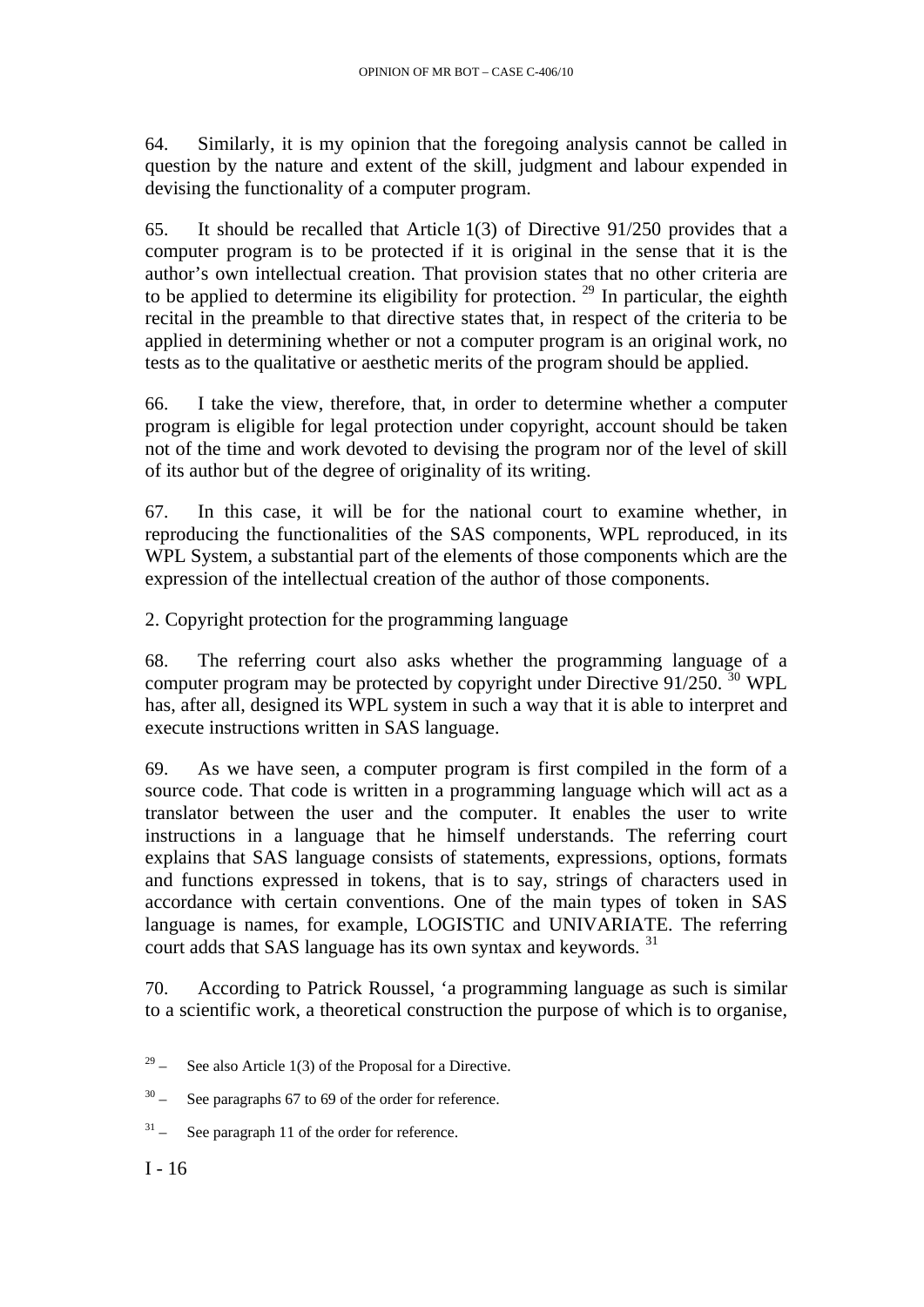64. Similarly, it is my opinion that the foregoing analysis cannot be called in question by the nature and extent of the skill, judgment and labour expended in devising the functionality of a computer program.

65. It should be recalled that Article 1(3) of Directive 91/250 provides that a computer program is to be protected if it is original in the sense that it is the author's own intellectual creation. That provision states that no other criteria are to be applied to determine its eligibility for protection.<sup>[29](#page-16-0)</sup> In particular, the eighth recital in the preamble to that directive states that, in respect of the criteria to be applied in determining whether or not a computer program is an original work, no tests as to the qualitative or aesthetic merits of the program should be applied.

66. I take the view, therefore, that, in order to determine whether a computer program is eligible for legal protection under copyright, account should be taken not of the time and work devoted to devising the program nor of the level of skill of its author but of the degree of originality of its writing.

67. In this case, it will be for the national court to examine whether, in reproducing the functionalities of the SAS components, WPL reproduced, in its WPL System, a substantial part of the elements of those components which are the expression of the intellectual creation of the author of those components.

2. Copyright protection for the programming language

68. The referring court also asks whether the programming language of a computer program may be protected by copyright under Directive  $91/250$ . <sup>[30](#page-16-1)</sup> WPL has, after all, designed its WPL system in such a way that it is able to interpret and execute instructions written in SAS language.

69. As we have seen, a computer program is first compiled in the form of a source code. That code is written in a programming language which will act as a translator between the user and the computer. It enables the user to write instructions in a language that he himself understands. The referring court explains that SAS language consists of statements, expressions, options, formats and functions expressed in tokens, that is to say, strings of characters used in accordance with certain conventions. One of the main types of token in SAS language is names, for example, LOGISTIC and UNIVARIATE. The referring court adds that SAS language has its own syntax and keywords. [31](#page-16-2)

70. According to Patrick Roussel, 'a programming language as such is similar to a scientific work, a theoretical construction the purpose of which is to organise,

 $I - 16$ 

<span id="page-16-0"></span><sup>&</sup>lt;sup>29</sup> – See also Article 1(3) of the Proposal for a Directive.

<span id="page-16-1"></span> $30 -$  See paragraphs 67 to 69 of the order for reference.

<span id="page-16-2"></span> $31 -$  See paragraph 11 of the order for reference.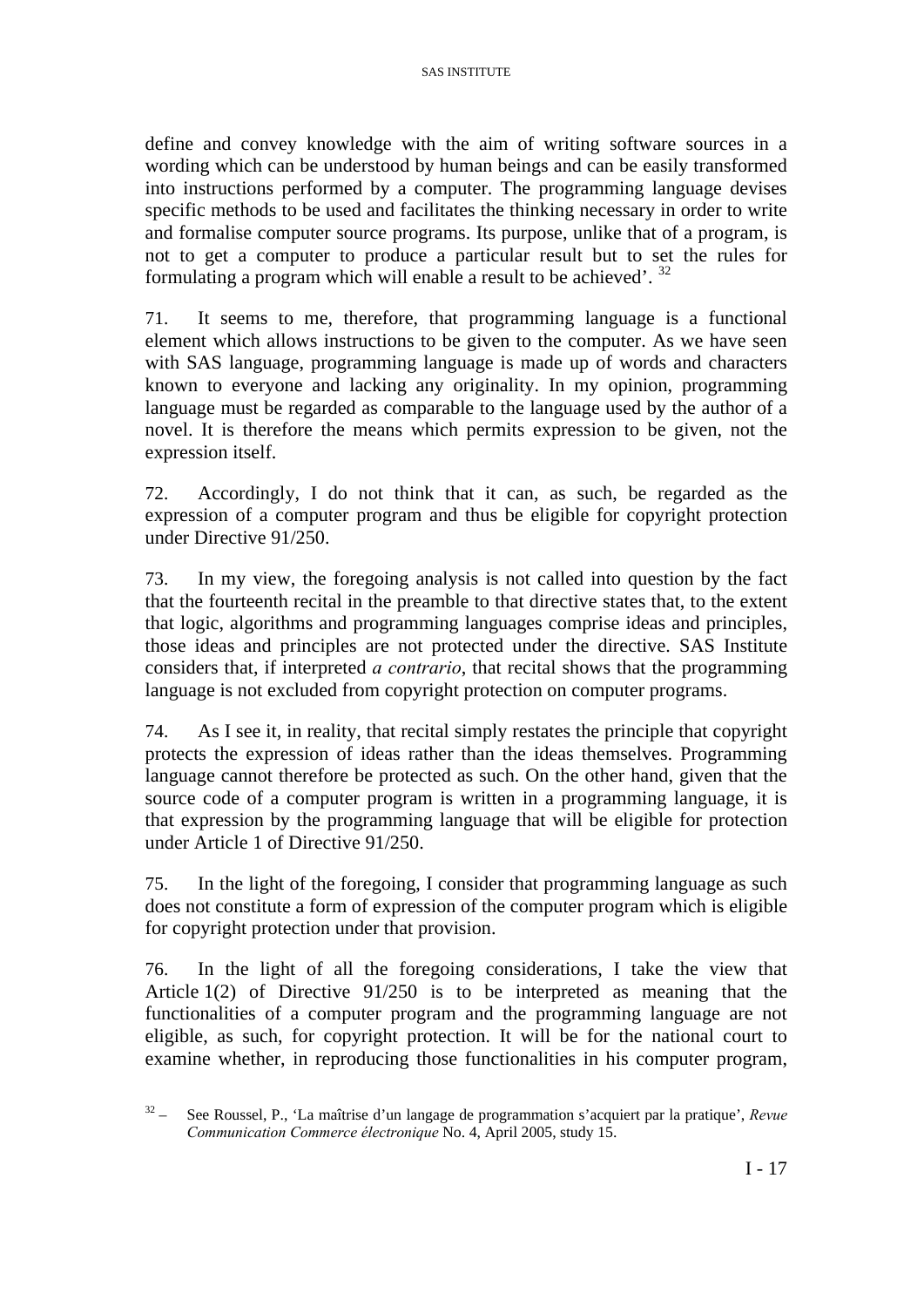define and convey knowledge with the aim of writing software sources in a wording which can be understood by human beings and can be easily transformed into instructions performed by a computer. The programming language devises specific methods to be used and facilitates the thinking necessary in order to write and formalise computer source programs. Its purpose, unlike that of a program, is not to get a computer to produce a particular result but to set the rules for formulating a program which will enable a result to be achieved'. [32](#page-17-0)

71. It seems to me, therefore, that programming language is a functional element which allows instructions to be given to the computer. As we have seen with SAS language, programming language is made up of words and characters known to everyone and lacking any originality. In my opinion, programming language must be regarded as comparable to the language used by the author of a novel. It is therefore the means which permits expression to be given, not the expression itself.

72. Accordingly, I do not think that it can, as such, be regarded as the expression of a computer program and thus be eligible for copyright protection under Directive 91/250.

73. In my view, the foregoing analysis is not called into question by the fact that the fourteenth recital in the preamble to that directive states that, to the extent that logic, algorithms and programming languages comprise ideas and principles, those ideas and principles are not protected under the directive. SAS Institute considers that, if interpreted *a contrario*, that recital shows that the programming language is not excluded from copyright protection on computer programs.

74. As I see it, in reality, that recital simply restates the principle that copyright protects the expression of ideas rather than the ideas themselves. Programming language cannot therefore be protected as such. On the other hand, given that the source code of a computer program is written in a programming language, it is that expression by the programming language that will be eligible for protection under Article 1 of Directive 91/250.

75. In the light of the foregoing, I consider that programming language as such does not constitute a form of expression of the computer program which is eligible for copyright protection under that provision.

76. In the light of all the foregoing considerations, I take the view that Article 1(2) of Directive 91/250 is to be interpreted as meaning that the functionalities of a computer program and the programming language are not eligible, as such, for copyright protection. It will be for the national court to examine whether, in reproducing those functionalities in his computer program,

<span id="page-17-0"></span><sup>32 –</sup> See Roussel, P., 'La maîtrise d'un langage de programmation s'acquiert par la pratique', *Revue Communication Commerce électronique* No. 4, April 2005, study 15.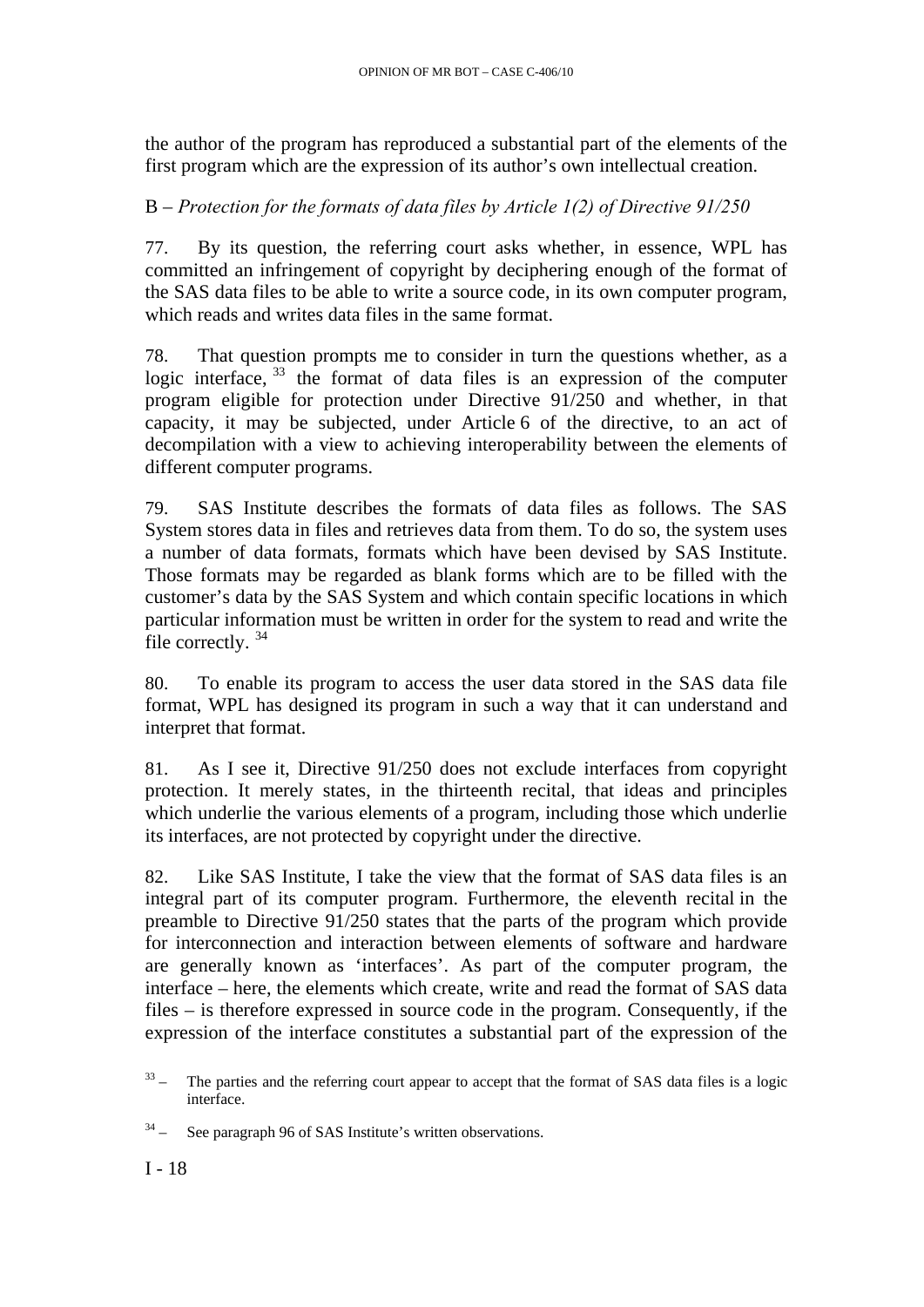the author of the program has reproduced a substantial part of the elements of the first program which are the expression of its author's own intellectual creation.

## B – *Protection for the formats of data files by Article 1(2) of Directive 91/250*

77. By its question, the referring court asks whether, in essence, WPL has committed an infringement of copyright by deciphering enough of the format of the SAS data files to be able to write a source code, in its own computer program, which reads and writes data files in the same format.

78. That question prompts me to consider in turn the questions whether, as a logic interface,  $33$  the format of data files is an expression of the computer program eligible for protection under Directive 91/250 and whether, in that capacity, it may be subjected, under Article 6 of the directive, to an act of decompilation with a view to achieving interoperability between the elements of different computer programs.

79. SAS Institute describes the formats of data files as follows. The SAS System stores data in files and retrieves data from them. To do so, the system uses a number of data formats, formats which have been devised by SAS Institute. Those formats may be regarded as blank forms which are to be filled with the customer's data by the SAS System and which contain specific locations in which particular information must be written in order for the system to read and write the file correctly.<sup>[34](#page-18-1)</sup>

80. To enable its program to access the user data stored in the SAS data file format, WPL has designed its program in such a way that it can understand and interpret that format.

81. As I see it, Directive 91/250 does not exclude interfaces from copyright protection. It merely states, in the thirteenth recital, that ideas and principles which underlie the various elements of a program, including those which underlie its interfaces, are not protected by copyright under the directive.

82. Like SAS Institute, I take the view that the format of SAS data files is an integral part of its computer program. Furthermore, the eleventh recital in the preamble to Directive 91/250 states that the parts of the program which provide for interconnection and interaction between elements of software and hardware are generally known as 'interfaces'. As part of the computer program, the interface – here, the elements which create, write and read the format of SAS data files – is therefore expressed in source code in the program. Consequently, if the expression of the interface constitutes a substantial part of the expression of the

<span id="page-18-0"></span> $33 -$  The parties and the referring court appear to accept that the format of SAS data files is a logic interface.

<span id="page-18-1"></span> $34 -$  See paragraph 96 of SAS Institute's written observations.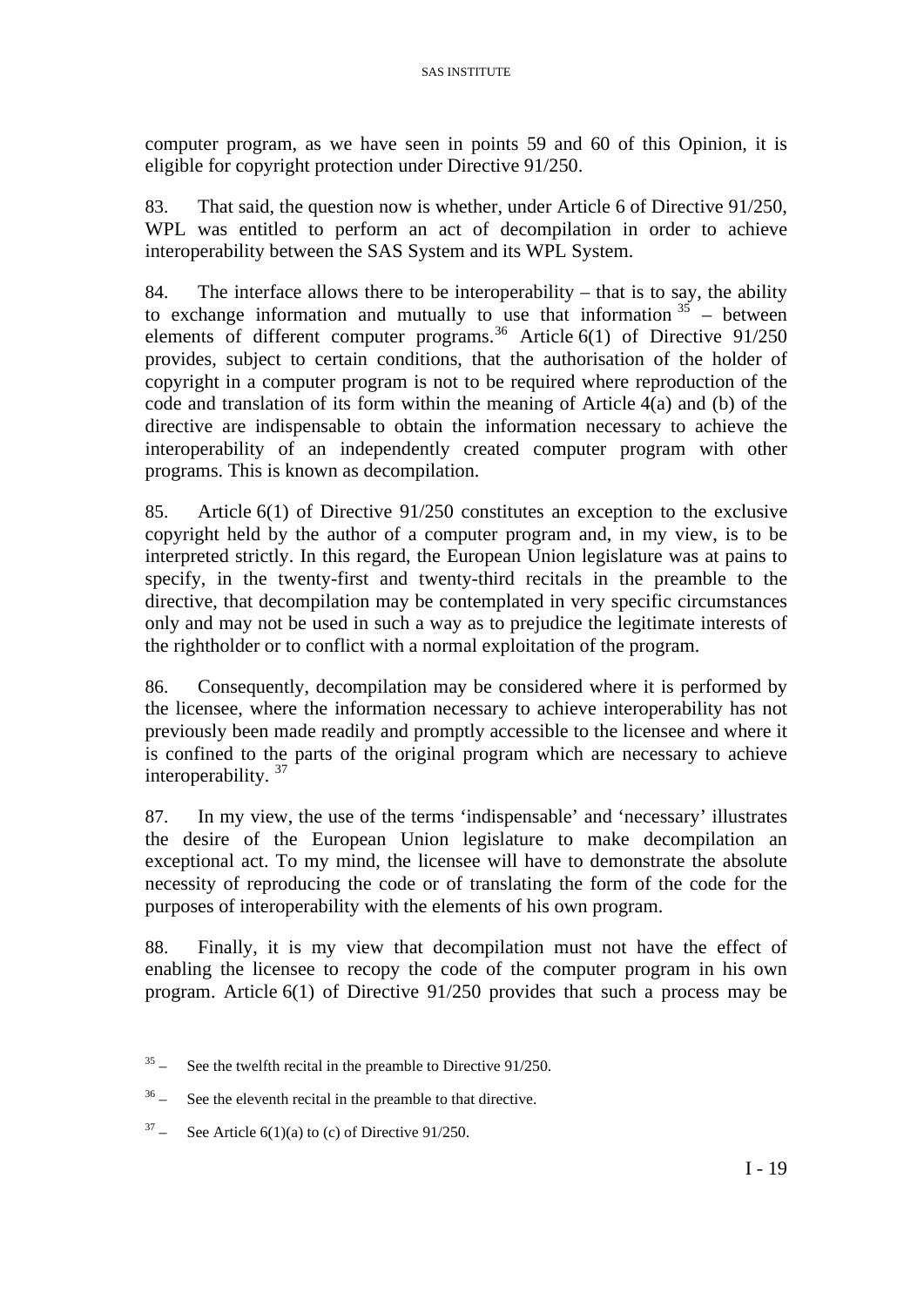computer program, as we have seen in points 59 and 60 of this Opinion, it is eligible for copyright protection under Directive 91/250.

83. That said, the question now is whether, under Article 6 of Directive 91/250, WPL was entitled to perform an act of decompilation in order to achieve interoperability between the SAS System and its WPL System.

84. The interface allows there to be interoperability – that is to say, the ability to exchange information and mutually to use that information  $35 35 -$  between elements of different computer programs.<sup>[36](#page-19-1)</sup> Article 6(1) of Directive 91/250 provides, subject to certain conditions, that the authorisation of the holder of copyright in a computer program is not to be required where reproduction of the code and translation of its form within the meaning of Article 4(a) and (b) of the directive are indispensable to obtain the information necessary to achieve the interoperability of an independently created computer program with other programs. This is known as decompilation.

85. Article 6(1) of Directive 91/250 constitutes an exception to the exclusive copyright held by the author of a computer program and, in my view, is to be interpreted strictly. In this regard, the European Union legislature was at pains to specify, in the twenty-first and twenty-third recitals in the preamble to the directive, that decompilation may be contemplated in very specific circumstances only and may not be used in such a way as to prejudice the legitimate interests of the rightholder or to conflict with a normal exploitation of the program.

86. Consequently, decompilation may be considered where it is performed by the licensee, where the information necessary to achieve interoperability has not previously been made readily and promptly accessible to the licensee and where it is confined to the parts of the original program which are necessary to achieve interoperability. [37](#page-19-2)

87. In my view, the use of the terms 'indispensable' and 'necessary' illustrates the desire of the European Union legislature to make decompilation an exceptional act. To my mind, the licensee will have to demonstrate the absolute necessity of reproducing the code or of translating the form of the code for the purposes of interoperability with the elements of his own program.

88. Finally, it is my view that decompilation must not have the effect of enabling the licensee to recopy the code of the computer program in his own program. Article 6(1) of Directive 91/250 provides that such a process may be

<span id="page-19-0"></span> $35 -$  See the twelfth recital in the preamble to Directive 91/250.

<span id="page-19-1"></span> $36 -$  See the eleventh recital in the preamble to that directive.

<span id="page-19-2"></span> $37 -$  See Article 6(1)(a) to (c) of Directive 91/250.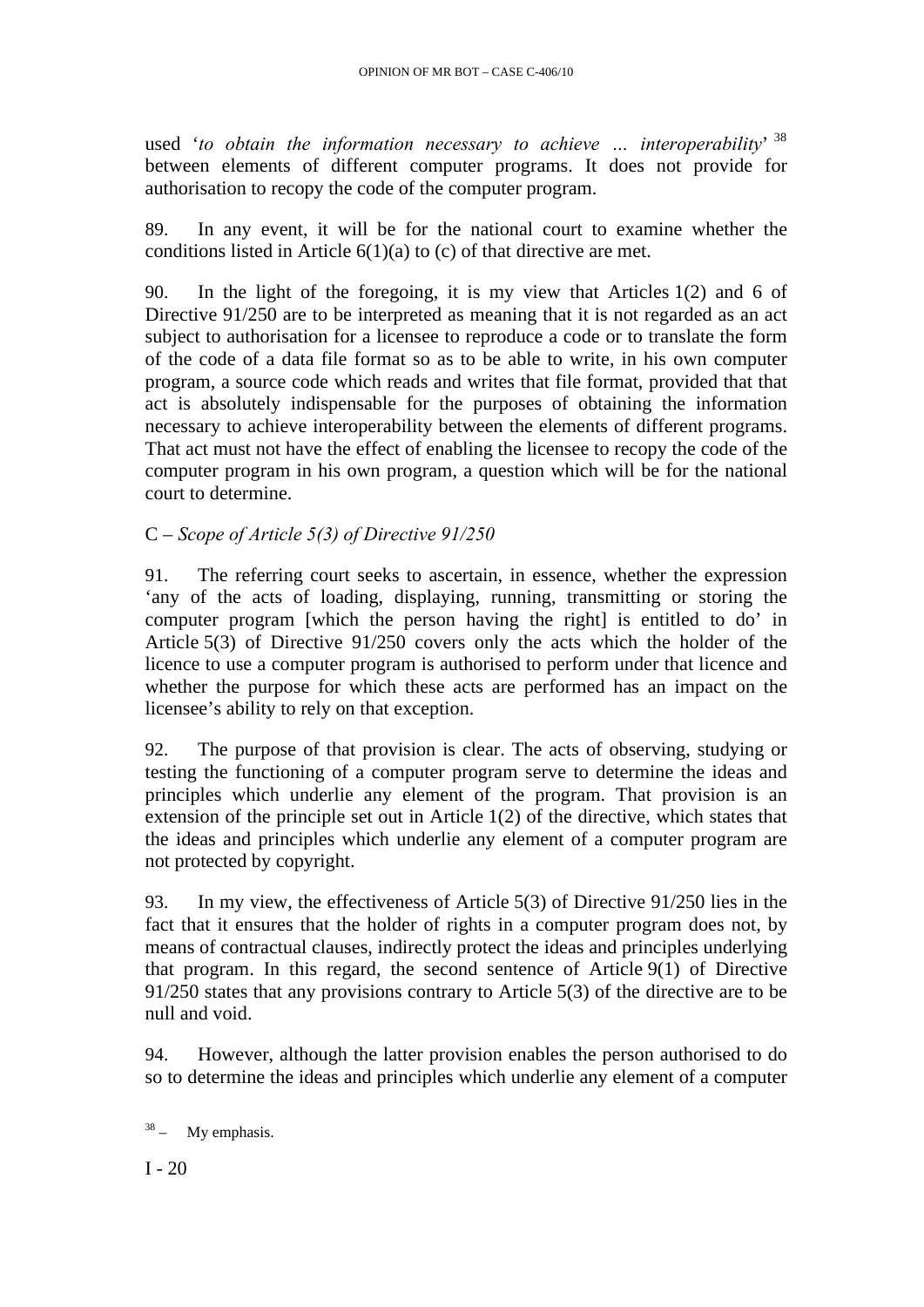used '*to obtain the information necessary to achieve … interoperability*' [38](#page-20-0) between elements of different computer programs. It does not provide for authorisation to recopy the code of the computer program.

89. In any event, it will be for the national court to examine whether the conditions listed in Article 6(1)(a) to (c) of that directive are met.

90. In the light of the foregoing, it is my view that Articles 1(2) and 6 of Directive 91/250 are to be interpreted as meaning that it is not regarded as an act subject to authorisation for a licensee to reproduce a code or to translate the form of the code of a data file format so as to be able to write, in his own computer program, a source code which reads and writes that file format, provided that that act is absolutely indispensable for the purposes of obtaining the information necessary to achieve interoperability between the elements of different programs. That act must not have the effect of enabling the licensee to recopy the code of the computer program in his own program, a question which will be for the national court to determine.

# C – *Scope of Article 5(3) of Directive 91/250*

91. The referring court seeks to ascertain, in essence, whether the expression 'any of the acts of loading, displaying, running, transmitting or storing the computer program [which the person having the right] is entitled to do' in Article 5(3) of Directive 91/250 covers only the acts which the holder of the licence to use a computer program is authorised to perform under that licence and whether the purpose for which these acts are performed has an impact on the licensee's ability to rely on that exception.

92. The purpose of that provision is clear. The acts of observing, studying or testing the functioning of a computer program serve to determine the ideas and principles which underlie any element of the program. That provision is an extension of the principle set out in Article 1(2) of the directive, which states that the ideas and principles which underlie any element of a computer program are not protected by copyright.

93. In my view, the effectiveness of Article 5(3) of Directive 91/250 lies in the fact that it ensures that the holder of rights in a computer program does not, by means of contractual clauses, indirectly protect the ideas and principles underlying that program. In this regard, the second sentence of Article 9(1) of Directive 91/250 states that any provisions contrary to Article 5(3) of the directive are to be null and void.

94. However, although the latter provision enables the person authorised to do so to determine the ideas and principles which underlie any element of a computer

<span id="page-20-0"></span> $38 - My$  emphasis.

 $I - 20$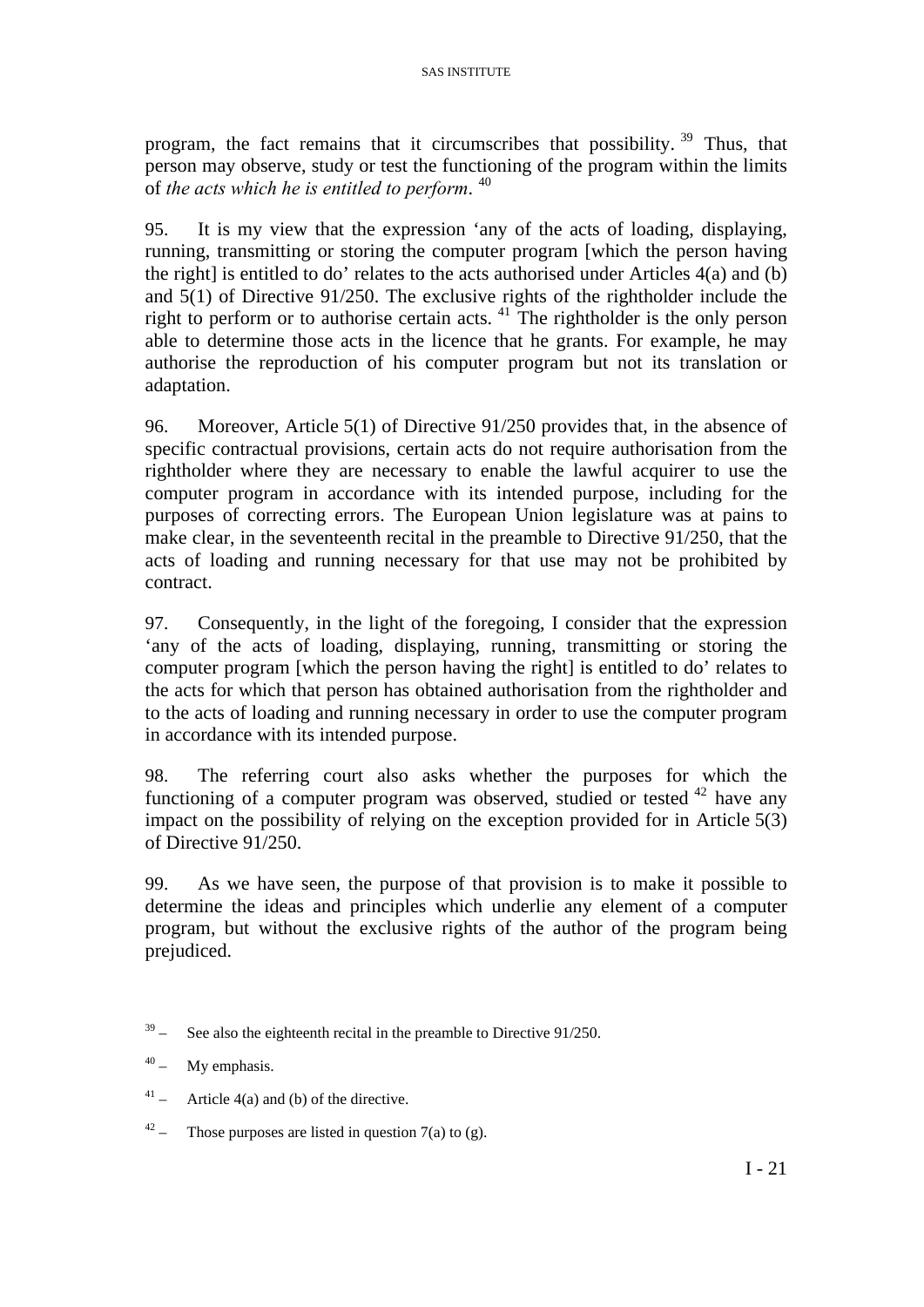program, the fact remains that it circumscribes that possibility.<sup>[39](#page-21-0)</sup> Thus, that person may observe, study or test the functioning of the program within the limits of *the acts which he is entitled to perform*. [40](#page-21-1)

95. It is my view that the expression 'any of the acts of loading, displaying, running, transmitting or storing the computer program [which the person having the right] is entitled to do' relates to the acts authorised under Articles  $4(a)$  and (b) and 5(1) of Directive 91/250. The exclusive rights of the rightholder include the right to perform or to authorise certain acts.  $41$  The rightholder is the only person able to determine those acts in the licence that he grants. For example, he may authorise the reproduction of his computer program but not its translation or adaptation.

96. Moreover, Article 5(1) of Directive 91/250 provides that, in the absence of specific contractual provisions, certain acts do not require authorisation from the rightholder where they are necessary to enable the lawful acquirer to use the computer program in accordance with its intended purpose, including for the purposes of correcting errors. The European Union legislature was at pains to make clear, in the seventeenth recital in the preamble to Directive 91/250, that the acts of loading and running necessary for that use may not be prohibited by contract.

97. Consequently, in the light of the foregoing, I consider that the expression 'any of the acts of loading, displaying, running, transmitting or storing the computer program [which the person having the right] is entitled to do' relates to the acts for which that person has obtained authorisation from the rightholder and to the acts of loading and running necessary in order to use the computer program in accordance with its intended purpose.

98. The referring court also asks whether the purposes for which the functioning of a computer program was observed, studied or tested  $42$  have any impact on the possibility of relying on the exception provided for in Article 5(3) of Directive 91/250.

99. As we have seen, the purpose of that provision is to make it possible to determine the ideas and principles which underlie any element of a computer program, but without the exclusive rights of the author of the program being prejudiced.

- <span id="page-21-2"></span> $41 -$  Article 4(a) and (b) of the directive.
- <span id="page-21-3"></span> $42 -$  Those purposes are listed in question 7(a) to (g).

<span id="page-21-0"></span> $39 -$  See also the eighteenth recital in the preamble to Directive 91/250.

<span id="page-21-1"></span> $40 - My$  emphasis.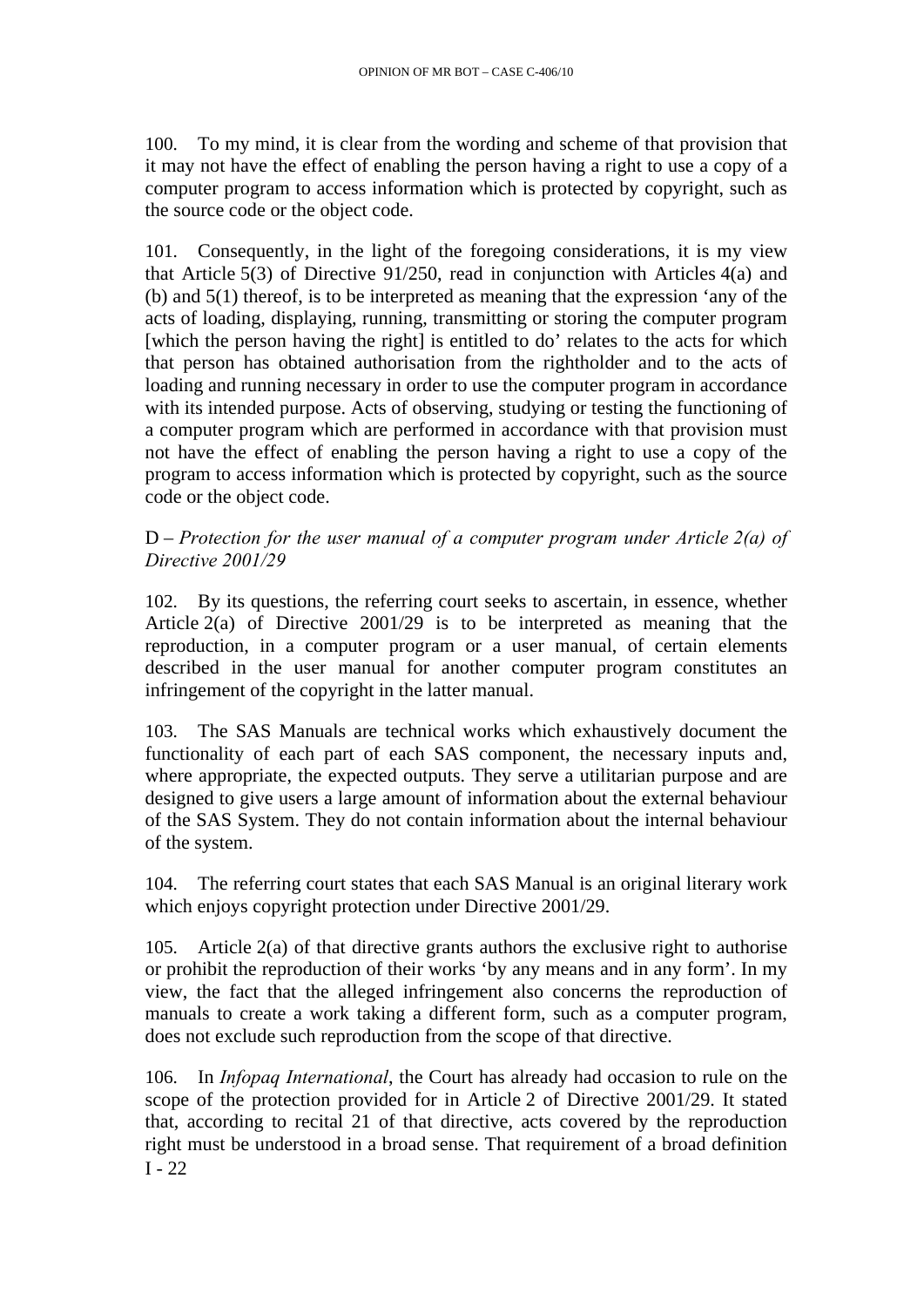100. To my mind, it is clear from the wording and scheme of that provision that it may not have the effect of enabling the person having a right to use a copy of a computer program to access information which is protected by copyright, such as the source code or the object code.

101. Consequently, in the light of the foregoing considerations, it is my view that Article 5(3) of Directive 91/250, read in conjunction with Articles 4(a) and (b) and 5(1) thereof, is to be interpreted as meaning that the expression 'any of the acts of loading, displaying, running, transmitting or storing the computer program [which the person having the right] is entitled to do' relates to the acts for which that person has obtained authorisation from the rightholder and to the acts of loading and running necessary in order to use the computer program in accordance with its intended purpose. Acts of observing, studying or testing the functioning of a computer program which are performed in accordance with that provision must not have the effect of enabling the person having a right to use a copy of the program to access information which is protected by copyright, such as the source code or the object code.

### D – *Protection for the user manual of a computer program under Article 2(a) of Directive 2001/29*

102. By its questions, the referring court seeks to ascertain, in essence, whether Article 2(a) of Directive 2001/29 is to be interpreted as meaning that the reproduction, in a computer program or a user manual, of certain elements described in the user manual for another computer program constitutes an infringement of the copyright in the latter manual.

103. The SAS Manuals are technical works which exhaustively document the functionality of each part of each SAS component, the necessary inputs and, where appropriate, the expected outputs. They serve a utilitarian purpose and are designed to give users a large amount of information about the external behaviour of the SAS System. They do not contain information about the internal behaviour of the system.

104. The referring court states that each SAS Manual is an original literary work which enjoys copyright protection under Directive 2001/29.

105. Article 2(a) of that directive grants authors the exclusive right to authorise or prohibit the reproduction of their works 'by any means and in any form'. In my view, the fact that the alleged infringement also concerns the reproduction of manuals to create a work taking a different form, such as a computer program, does not exclude such reproduction from the scope of that directive.

 $I - 22$ 106. In *Infopaq International*, the Court has already had occasion to rule on the scope of the protection provided for in Article 2 of Directive 2001/29. It stated that, according to recital 21 of that directive, acts covered by the reproduction right must be understood in a broad sense. That requirement of a broad definition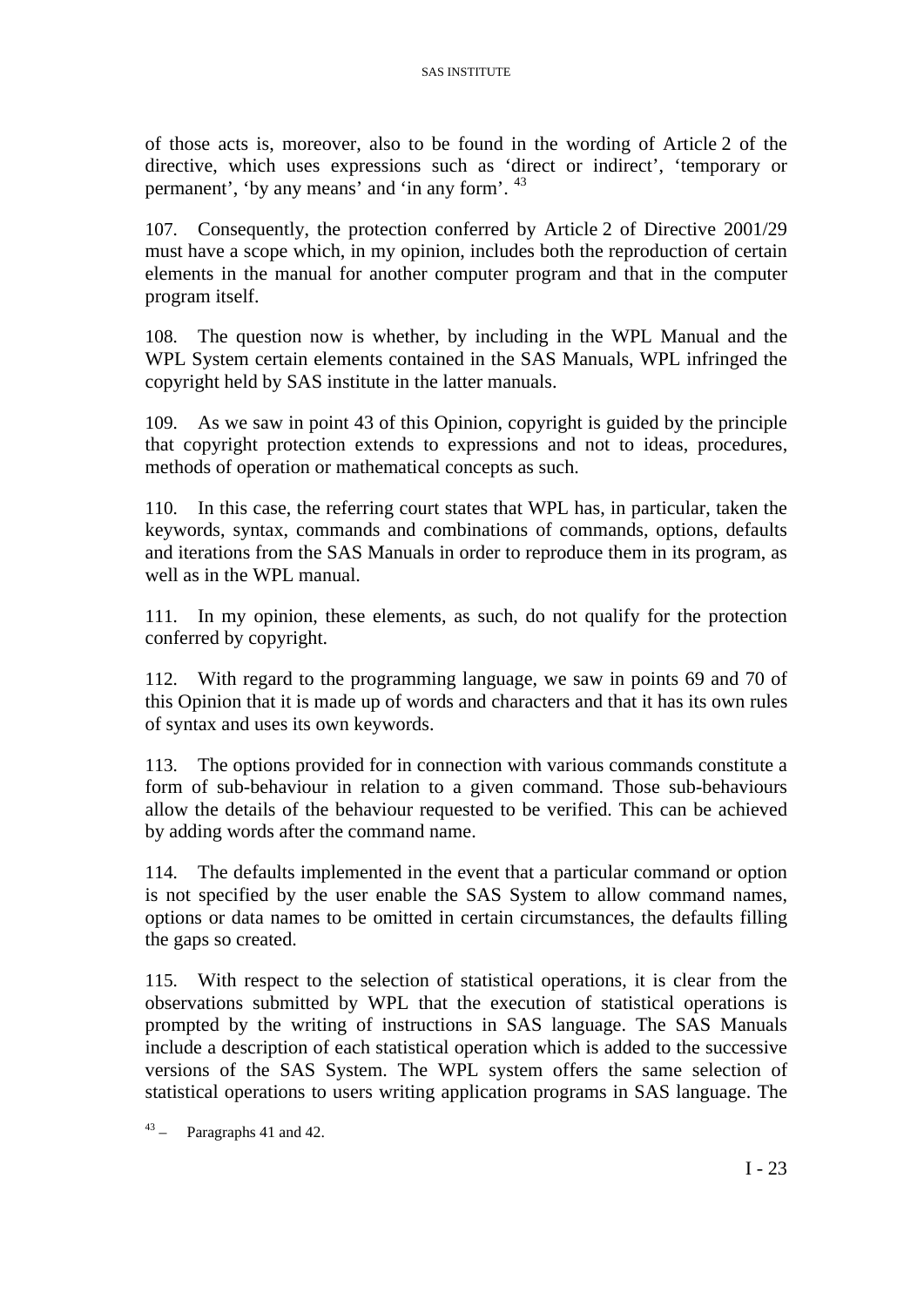of those acts is, moreover, also to be found in the wording of Article 2 of the directive, which uses expressions such as 'direct or indirect', 'temporary or permanent', 'by any means' and 'in any form'. [43](#page-23-0)

107. Consequently, the protection conferred by Article 2 of Directive 2001/29 must have a scope which, in my opinion, includes both the reproduction of certain elements in the manual for another computer program and that in the computer program itself.

108. The question now is whether, by including in the WPL Manual and the WPL System certain elements contained in the SAS Manuals, WPL infringed the copyright held by SAS institute in the latter manuals.

109. As we saw in point 43 of this Opinion, copyright is guided by the principle that copyright protection extends to expressions and not to ideas, procedures, methods of operation or mathematical concepts as such.

110. In this case, the referring court states that WPL has, in particular, taken the keywords, syntax, commands and combinations of commands, options, defaults and iterations from the SAS Manuals in order to reproduce them in its program, as well as in the WPL manual.

111. In my opinion, these elements, as such, do not qualify for the protection conferred by copyright.

112. With regard to the programming language, we saw in points 69 and 70 of this Opinion that it is made up of words and characters and that it has its own rules of syntax and uses its own keywords.

113. The options provided for in connection with various commands constitute a form of sub-behaviour in relation to a given command. Those sub-behaviours allow the details of the behaviour requested to be verified. This can be achieved by adding words after the command name.

114. The defaults implemented in the event that a particular command or option is not specified by the user enable the SAS System to allow command names, options or data names to be omitted in certain circumstances, the defaults filling the gaps so created.

115. With respect to the selection of statistical operations, it is clear from the observations submitted by WPL that the execution of statistical operations is prompted by the writing of instructions in SAS language. The SAS Manuals include a description of each statistical operation which is added to the successive versions of the SAS System. The WPL system offers the same selection of statistical operations to users writing application programs in SAS language. The

<span id="page-23-0"></span> $43 -$  Paragraphs 41 and 42.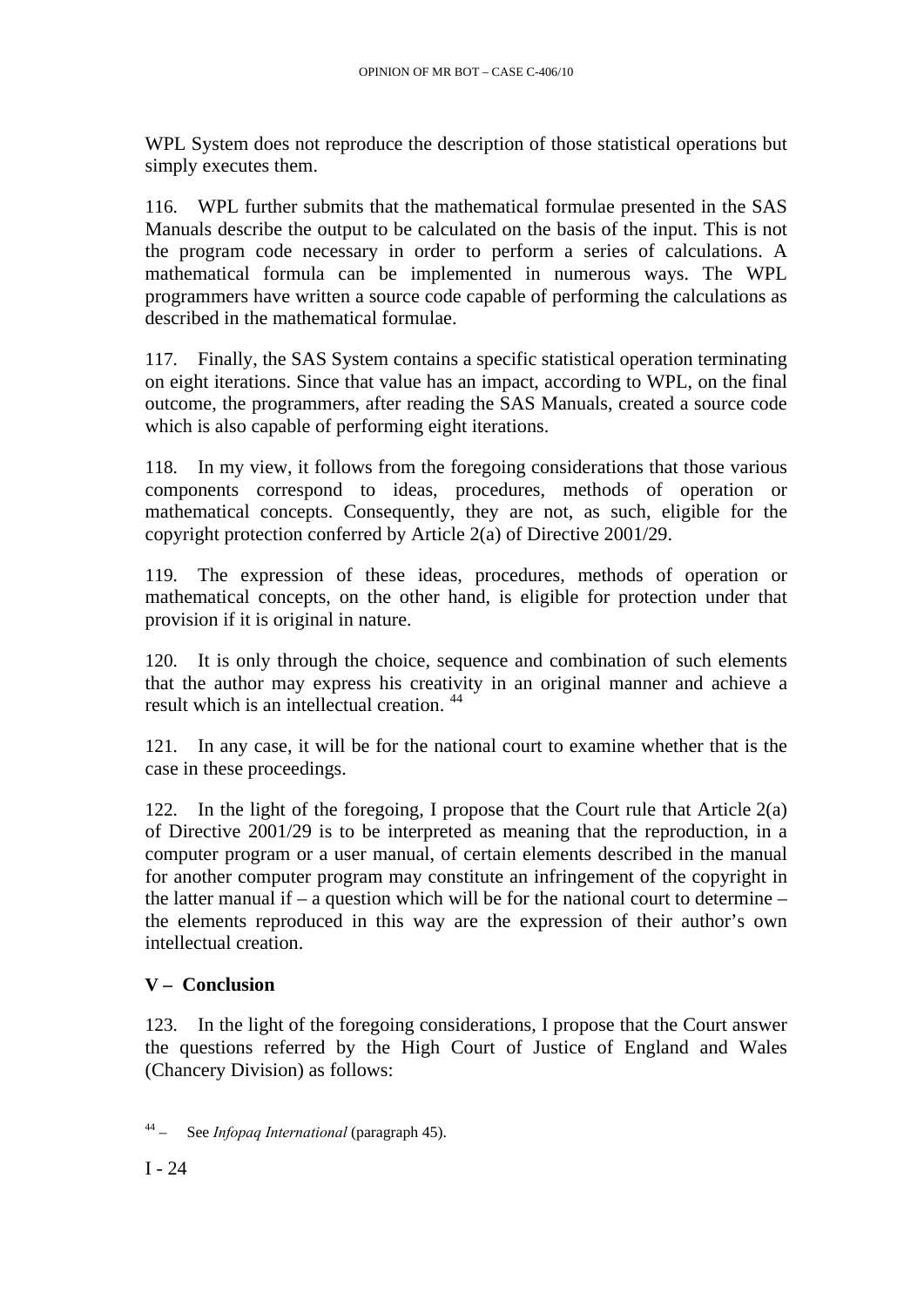WPL System does not reproduce the description of those statistical operations but simply executes them.

116. WPL further submits that the mathematical formulae presented in the SAS Manuals describe the output to be calculated on the basis of the input. This is not the program code necessary in order to perform a series of calculations. A mathematical formula can be implemented in numerous ways. The WPL programmers have written a source code capable of performing the calculations as described in the mathematical formulae.

117. Finally, the SAS System contains a specific statistical operation terminating on eight iterations. Since that value has an impact, according to WPL, on the final outcome, the programmers, after reading the SAS Manuals, created a source code which is also capable of performing eight iterations.

118. In my view, it follows from the foregoing considerations that those various components correspond to ideas, procedures, methods of operation or mathematical concepts. Consequently, they are not, as such, eligible for the copyright protection conferred by Article 2(a) of Directive 2001/29.

119. The expression of these ideas, procedures, methods of operation or mathematical concepts, on the other hand, is eligible for protection under that provision if it is original in nature.

120. It is only through the choice, sequence and combination of such elements that the author may express his creativity in an original manner and achieve a result which is an intellectual creation. [44](#page-24-0)

121. In any case, it will be for the national court to examine whether that is the case in these proceedings.

122. In the light of the foregoing, I propose that the Court rule that Article  $2(a)$ of Directive 2001/29 is to be interpreted as meaning that the reproduction, in a computer program or a user manual, of certain elements described in the manual for another computer program may constitute an infringement of the copyright in the latter manual if – a question which will be for the national court to determine – the elements reproduced in this way are the expression of their author's own intellectual creation.

# **V – Conclusion**

123. In the light of the foregoing considerations, I propose that the Court answer the questions referred by the High Court of Justice of England and Wales (Chancery Division) as follows:

<span id="page-24-0"></span>44 – See *Infopaq International* (paragraph 45).